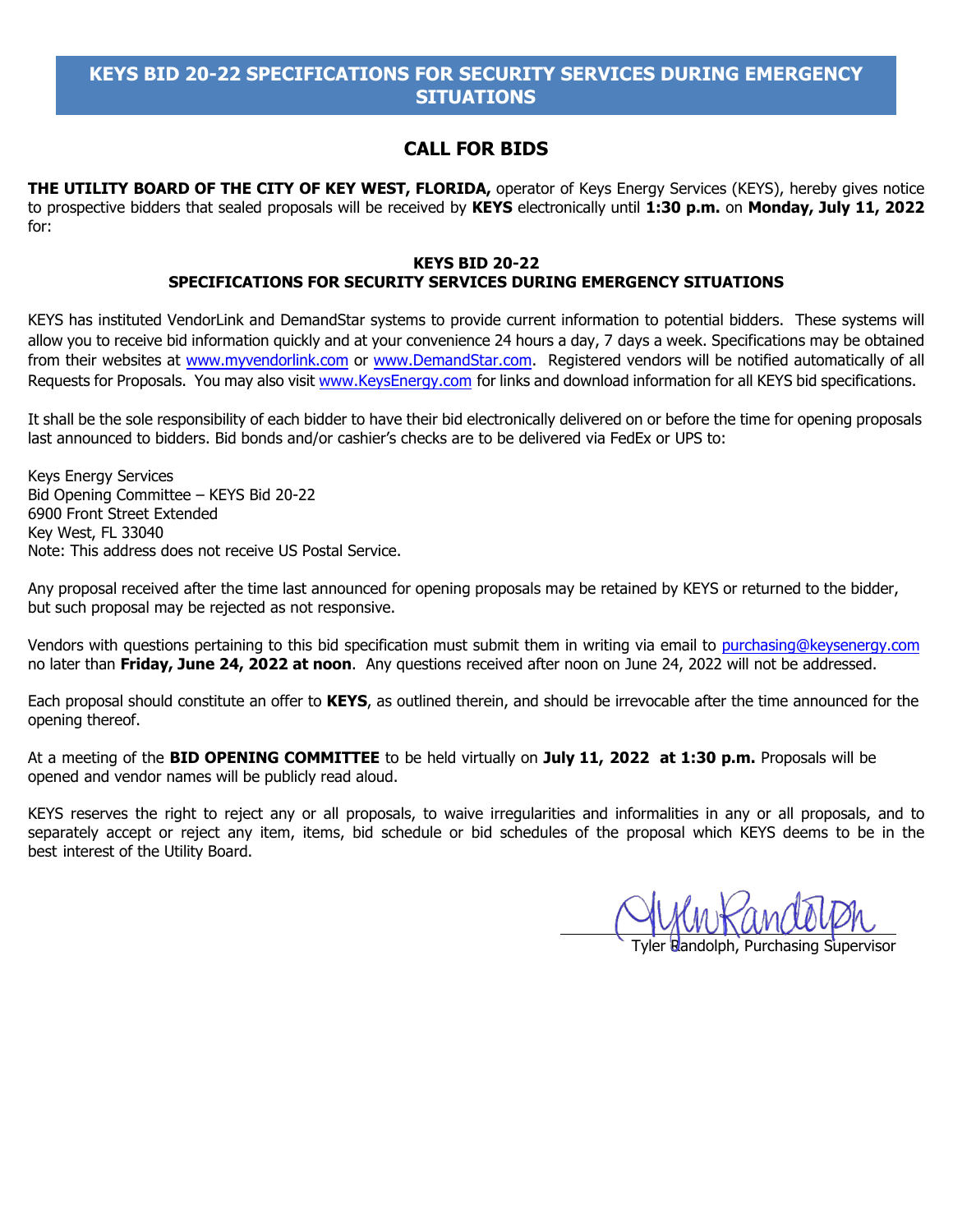## **CALL FOR BIDS**

**THE UTILITY BOARD OF THE CITY OF KEY WEST, FLORIDA,** operator of Keys Energy Services (KEYS), hereby gives notice to prospective bidders that sealed proposals will be received by **KEYS** electronically until **1:30 p.m.** on **Monday, July 11, 2022** for:

### **KEYS BID 20-22 SPECIFICATIONS FOR SECURITY SERVICES DURING EMERGENCY SITUATIONS**

KEYS has instituted VendorLink and DemandStar systems to provide current information to potential bidders. These systems will allow you to receive bid information quickly and at your convenience 24 hours a day, 7 days a week. Specifications may be obtained from their websites at [www.myvendorlink.com](http://www.myvendorlink.com/) or [www.DemandStar.com.](http://www.demandstar.com/taf/agencycp.taf?_function=list&A=335) Registered vendors will be notified automatically of all Requests for Proposals. You may also visi[t www.KeysEnergy.com](http://www.keysenergy.com/) for links and download information for all KEYS bid specifications.

It shall be the sole responsibility of each bidder to have their bid electronically delivered on or before the time for opening proposals last announced to bidders. Bid bonds and/or cashier's checks are to be delivered via FedEx or UPS to:

Keys Energy Services Bid Opening Committee – KEYS Bid 20-22 6900 Front Street Extended Key West, FL 33040 Note: This address does not receive US Postal Service.

Any proposal received after the time last announced for opening proposals may be retained by KEYS or returned to the bidder, but such proposal may be rejected as not responsive.

Vendors with questions pertaining to this bid specification must submit them in writing via email to purchasing@keysenergy.com no later than **Friday, June 24, 2022 at noon**. Any questions received after noon on June 24, 2022 will not be addressed.

Each proposal should constitute an offer to **KEYS**, as outlined therein, and should be irrevocable after the time announced for the opening thereof.

At a meeting of the **BID OPENING COMMITTEE** to be held virtually on **July 11, 2022 at 1:30 p.m.** Proposals will be opened and vendor names will be publicly read aloud.

KEYS reserves the right to reject any or all proposals, to waive irregularities and informalities in any or all proposals, and to separately accept or reject any item, items, bid schedule or bid schedules of the proposal which KEYS deems to be in the best interest of the Utility Board.

Purchasing Supervisor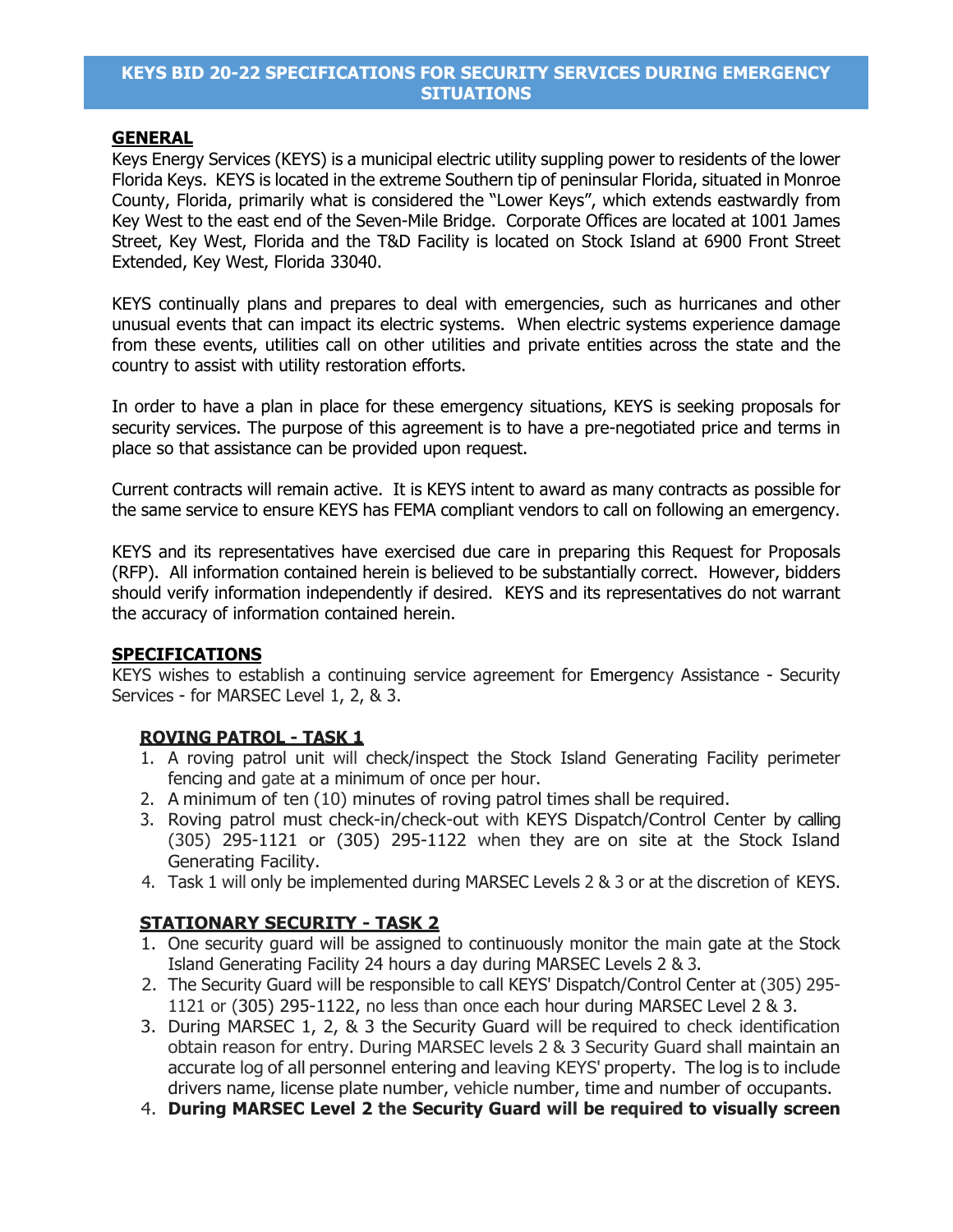### **GENERAL**

Keys Energy Services (KEYS) is a municipal electric utility suppling power to residents of the lower Florida Keys. KEYS is located in the extreme Southern tip of peninsular Florida, situated in Monroe County, Florida, primarily what is considered the "Lower Keys", which extends eastwardly from Key West to the east end of the Seven-Mile Bridge. Corporate Offices are located at 1001 James Street, Key West, Florida and the T&D Facility is located on Stock Island at 6900 Front Street Extended, Key West, Florida 33040.

KEYS continually plans and prepares to deal with emergencies, such as hurricanes and other unusual events that can impact its electric systems. When electric systems experience damage from these events, utilities call on other utilities and private entities across the state and the country to assist with utility restoration efforts.

In order to have a plan in place for these emergency situations, KEYS is seeking proposals for security services. The purpose of this agreement is to have a pre-negotiated price and terms in place so that assistance can be provided upon request.

Current contracts will remain active. It is KEYS intent to award as many contracts as possible for the same service to ensure KEYS has FEMA compliant vendors to call on following an emergency.

KEYS and its representatives have exercised due care in preparing this Request for Proposals (RFP). All information contained herein is believed to be substantially correct. However, bidders should verify information independently if desired. KEYS and its representatives do not warrant the accuracy of information contained herein.

### **SPECIFICATIONS**

KEYS wishes to establish a continuing service agreement for Emergency Assistance - Security Services - for MARSEC Level 1, 2, & 3.

### **ROVING PATROL - TASK 1**

- 1. A roving patrol unit will check/inspect the Stock Island Generating Facility perimeter fencing and gate at a minimum of once per hour.
- 2. A minimum of ten (10) minutes of roving patrol times shall be required.
- 3. Roving patrol must check-in/check-out with KEYS Dispatch/Control Center by calling (305) 295-1121 or (305) 295-1122 when they are on site at the Stock Island Generating Facility.
- 4. Task 1 will only be implemented during MARSEC Levels 2 & 3 or at the discretion of KEYS.

### **STATIONARY SECURITY - TASK 2**

- 1. One security guard will be assigned to continuously monitor the main gate at the Stock Island Generating Facility 24 hours a day during MARSEC Levels 2 & 3.
- 2. The Security Guard will be responsible to call KEYS' Dispatch/Control Center at (305) 295- 1121 or (305) 295-1122, no less than once each hour during MARSEC Level 2 & 3.
- 3. During MARSEC 1, 2, & 3 the Security Guard will be required to check identification obtain reason for entry. During MARSEC levels 2 & 3 Security Guard shall maintain an accurate log of all personnel entering and leaving KEYS' property. The log is to include drivers name, license plate number, vehicle number, time and number of occupants.
- 4. **During MARSEC Level 2 the Security Guard will be required to visually screen**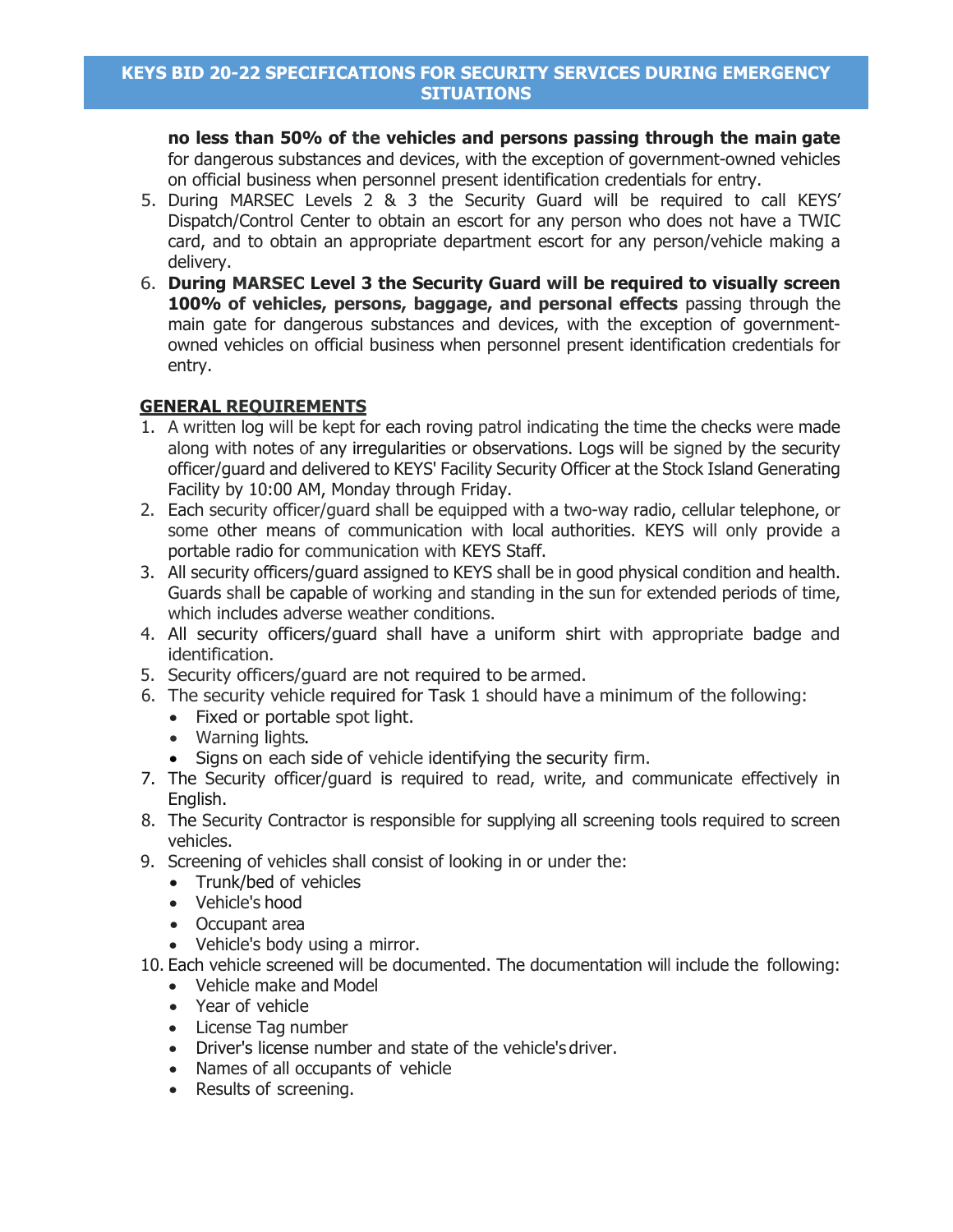**no less than 50% of the vehicles and persons passing through the main gate** for dangerous substances and devices, with the exception of government-owned vehicles on official business when personnel present identification credentials for entry.

- 5. During MARSEC Levels 2 & 3 the Security Guard will be required to call KEYS' Dispatch/Control Center to obtain an escort for any person who does not have a TWIC card, and to obtain an appropriate department escort for any person/vehicle making a delivery.
- 6. **During MARSEC Level 3 the Security Guard will be required to visually screen 100% of vehicles, persons, baggage, and personal effects** passing through the main gate for dangerous substances and devices, with the exception of governmentowned vehicles on official business when personnel present identification credentials for entry.

# **GENERAL REQUIREMENTS**

- 1. A written log will be kept for each roving patrol indicating the time the checks were made along with notes of any irregularities or observations. Logs will be signed by the security officer/guard and delivered to KEYS' Facility Security Officer at the Stock Island Generating Facility by 10:00 AM, Monday through Friday.
- 2. Each security officer/guard shall be equipped with a two-way radio, cellular telephone, or some other means of communication with local authorities. KEYS will only provide a portable radio for communication with KEYS Staff.
- 3. All security officers/guard assigned to KEYS shall be in good physical condition and health. Guards shall be capable of working and standing in the sun for extended periods of time, which includes adverse weather conditions.
- 4. All security officers/guard shall have a uniform shirt with appropriate badge and identification.
- 5. Security officers/guard are not required to be armed.
- 6. The security vehicle required for Task 1 should have a minimum of the following:
	- Fixed or portable spot light.
	- Warning lights.
	- Signs on each side of vehicle identifying the security firm.
- 7. The Security officer/guard is required to read, write, and communicate effectively in English.
- 8. The Security Contractor is responsible for supplying all screening tools required to screen vehicles.
- 9. Screening of vehicles shall consist of looking in or under the:
	- Trunk/bed of vehicles
	- Vehicle's hood
	- Occupant area
	- Vehicle's body using a mirror.
- 10. Each vehicle screened will be documented. The documentation will include the following:
	- Vehicle make and Model
	- Year of vehicle
	- License Tag number
	- Driver's license number and state of the vehicle's driver.
	- Names of all occupants of vehicle
	- Results of screening.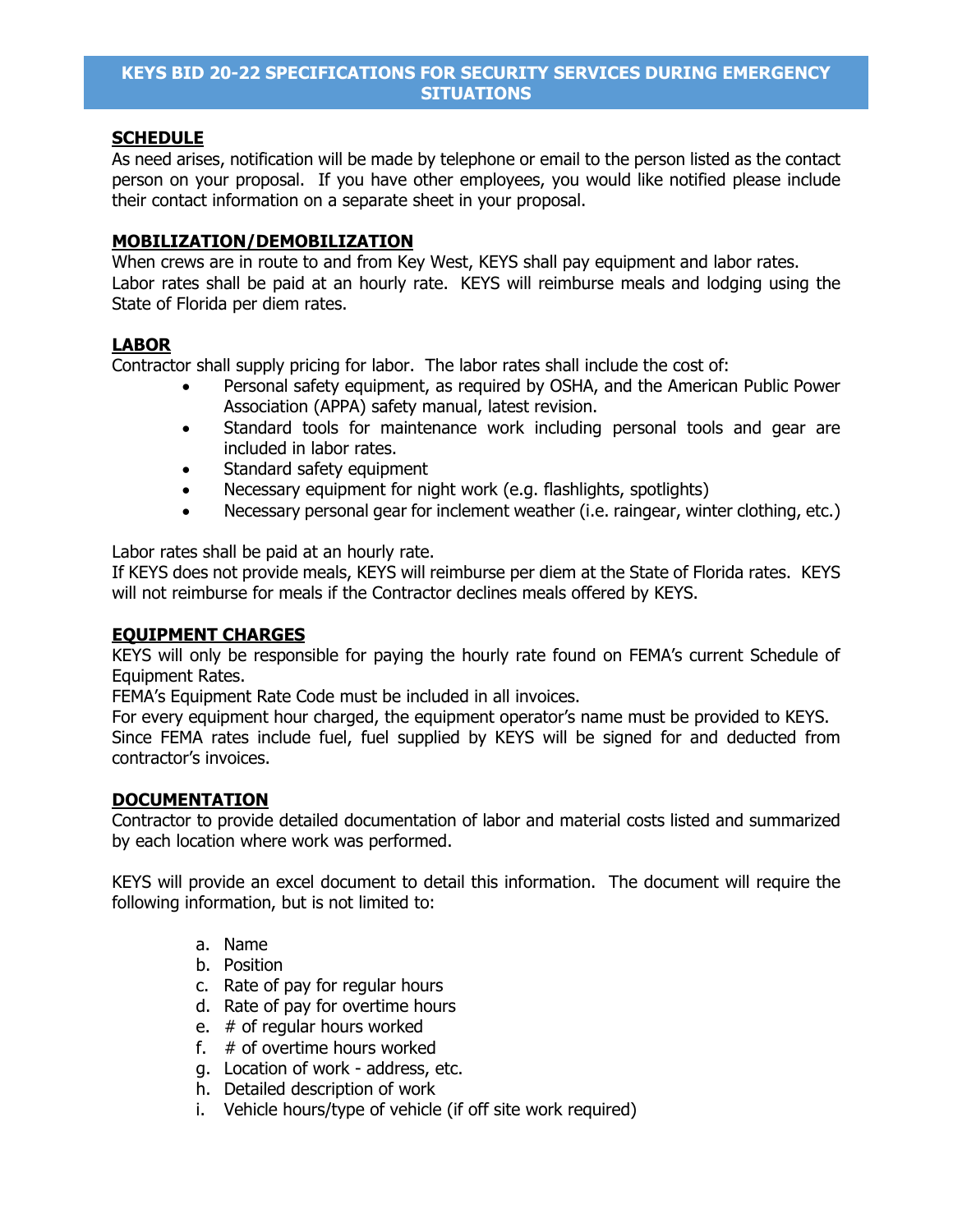### **SCHEDULE**

As need arises, notification will be made by telephone or email to the person listed as the contact person on your proposal. If you have other employees, you would like notified please include their contact information on a separate sheet in your proposal.

### **MOBILIZATION/DEMOBILIZATION**

When crews are in route to and from Key West, KEYS shall pay equipment and labor rates. Labor rates shall be paid at an hourly rate. KEYS will reimburse meals and lodging using the State of Florida per diem rates.

### **LABOR**

Contractor shall supply pricing for labor. The labor rates shall include the cost of:

- Personal safety equipment, as required by OSHA, and the American Public Power Association (APPA) safety manual, latest revision.
- Standard tools for maintenance work including personal tools and gear are included in labor rates.
- Standard safety equipment
- Necessary equipment for night work (e.g. flashlights, spotlights)
- Necessary personal gear for inclement weather (i.e. raingear, winter clothing, etc.)

Labor rates shall be paid at an hourly rate.

If KEYS does not provide meals, KEYS will reimburse per diem at the State of Florida rates. KEYS will not reimburse for meals if the Contractor declines meals offered by KEYS.

### **EQUIPMENT CHARGES**

KEYS will only be responsible for paying the hourly rate found on FEMA's current Schedule of Equipment Rates.

FEMA's Equipment Rate Code must be included in all invoices.

For every equipment hour charged, the equipment operator's name must be provided to KEYS. Since FEMA rates include fuel, fuel supplied by KEYS will be signed for and deducted from contractor's invoices.

### **DOCUMENTATION**

Contractor to provide detailed documentation of labor and material costs listed and summarized by each location where work was performed.

KEYS will provide an excel document to detail this information. The document will require the following information, but is not limited to:

- a. Name
- b. Position
- c. Rate of pay for regular hours
- d. Rate of pay for overtime hours
- e. # of regular hours worked
- f. # of overtime hours worked
- g. Location of work address, etc.
- h. Detailed description of work
- i. Vehicle hours/type of vehicle (if off site work required)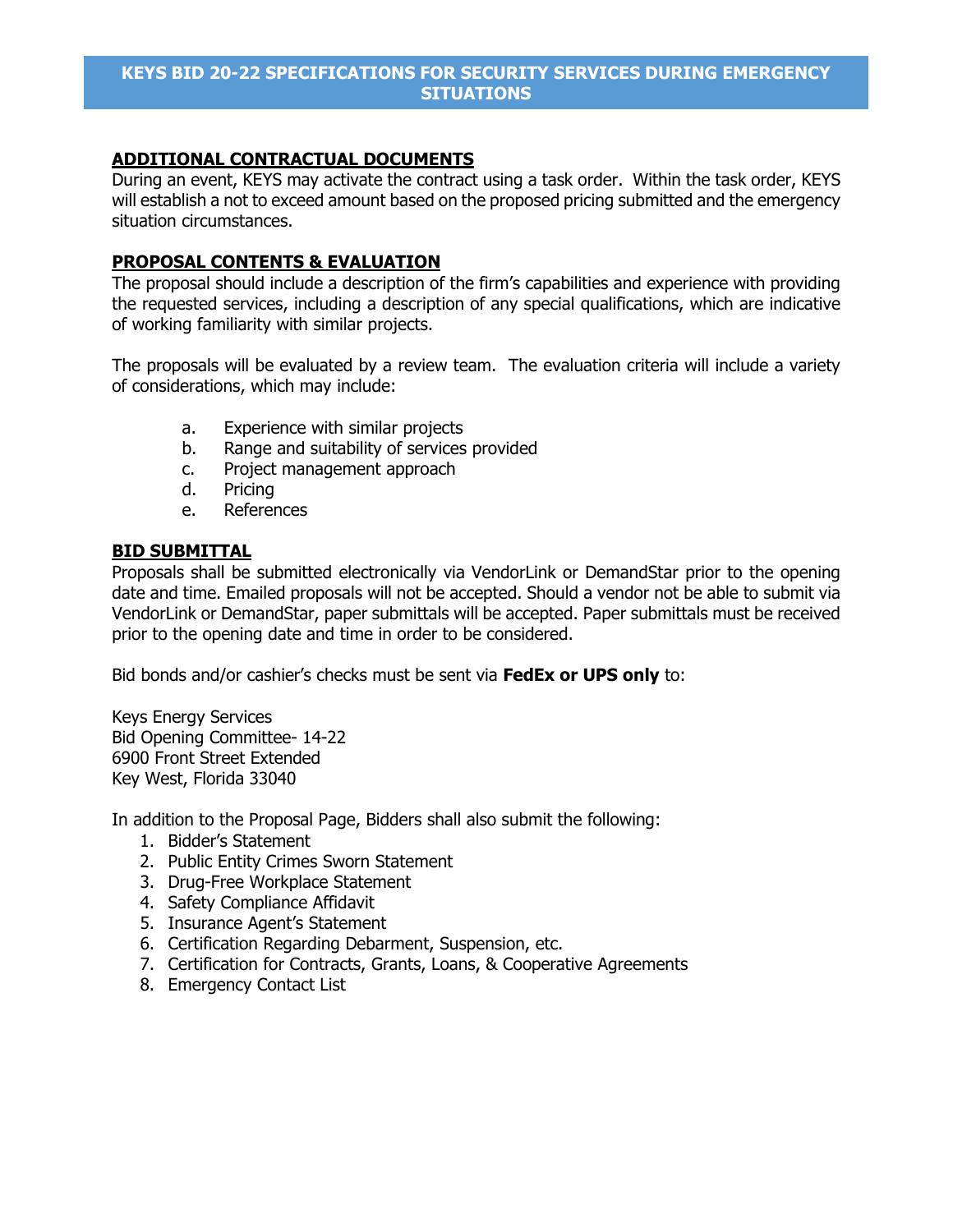## **ADDITIONAL CONTRACTUAL DOCUMENTS**

During an event, KEYS may activate the contract using a task order. Within the task order, KEYS will establish a not to exceed amount based on the proposed pricing submitted and the emergency situation circumstances.

### **PROPOSAL CONTENTS & EVALUATION**

The proposal should include a description of the firm's capabilities and experience with providing the requested services, including a description of any special qualifications, which are indicative of working familiarity with similar projects.

The proposals will be evaluated by a review team. The evaluation criteria will include a variety of considerations, which may include:

- a. Experience with similar projects
- b. Range and suitability of services provided
- c. Project management approach
- d. Pricing
- e. References

### **BID SUBMITTAL**

Proposals shall be submitted electronically via VendorLink or DemandStar prior to the opening date and time. Emailed proposals will not be accepted. Should a vendor not be able to submit via VendorLink or DemandStar, paper submittals will be accepted. Paper submittals must be received prior to the opening date and time in order to be considered.

Bid bonds and/or cashier's checks must be sent via **FedEx or UPS only** to:

Keys Energy Services Bid Opening Committee- 14-22 6900 Front Street Extended Key West, Florida 33040

In addition to the Proposal Page, Bidders shall also submit the following:

- 1. Bidder's Statement
- 2. Public Entity Crimes Sworn Statement
- 3. Drug-Free Workplace Statement
- 4. Safety Compliance Affidavit
- 5. Insurance Agent's Statement
- 6. Certification Regarding Debarment, Suspension, etc.
- 7. Certification for Contracts, Grants, Loans, & Cooperative Agreements
- 8. Emergency Contact List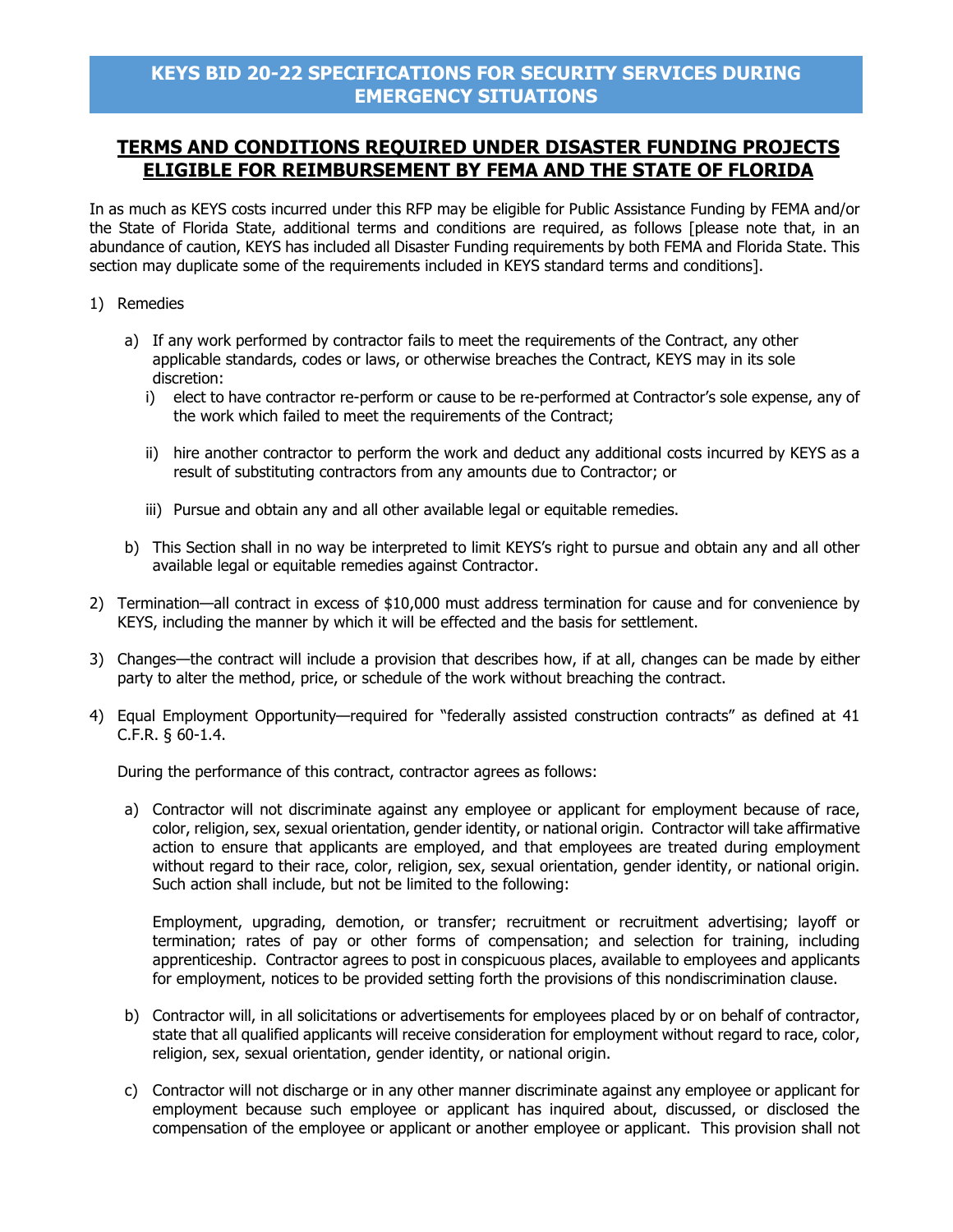# **TERMS AND CONDITIONS REQUIRED UNDER DISASTER FUNDING PROJECTS ELIGIBLE FOR REIMBURSEMENT BY FEMA AND THE STATE OF FLORIDA**

In as much as KEYS costs incurred under this RFP may be eligible for Public Assistance Funding by FEMA and/or the State of Florida State, additional terms and conditions are required, as follows [please note that, in an abundance of caution, KEYS has included all Disaster Funding requirements by both FEMA and Florida State. This section may duplicate some of the requirements included in KEYS standard terms and conditions].

- 1) Remedies
	- a) If any work performed by contractor fails to meet the requirements of the Contract, any other applicable standards, codes or laws, or otherwise breaches the Contract, KEYS may in its sole discretion:
		- i) elect to have contractor re-perform or cause to be re-performed at Contractor's sole expense, any of the work which failed to meet the requirements of the Contract;
		- ii) hire another contractor to perform the work and deduct any additional costs incurred by KEYS as a result of substituting contractors from any amounts due to Contractor; or
		- iii) Pursue and obtain any and all other available legal or equitable remedies.
	- b) This Section shall in no way be interpreted to limit KEYS's right to pursue and obtain any and all other available legal or equitable remedies against Contractor.
- 2) Termination—all contract in excess of \$10,000 must address termination for cause and for convenience by KEYS, including the manner by which it will be effected and the basis for settlement.
- 3) Changes—the contract will include a provision that describes how, if at all, changes can be made by either party to alter the method, price, or schedule of the work without breaching the contract.
- 4) Equal Employment Opportunity—required for "federally assisted construction contracts" as defined at 41 C.F.R. § 60-1.4.

During the performance of this contract, contractor agrees as follows:

a) Contractor will not discriminate against any employee or applicant for employment because of race, color, religion, sex, sexual orientation, gender identity, or national origin. Contractor will take affirmative action to ensure that applicants are employed, and that employees are treated during employment without regard to their race, color, religion, sex, sexual orientation, gender identity, or national origin. Such action shall include, but not be limited to the following:

Employment, upgrading, demotion, or transfer; recruitment or recruitment advertising; layoff or termination; rates of pay or other forms of compensation; and selection for training, including apprenticeship. Contractor agrees to post in conspicuous places, available to employees and applicants for employment, notices to be provided setting forth the provisions of this nondiscrimination clause.

- b) Contractor will, in all solicitations or advertisements for employees placed by or on behalf of contractor, state that all qualified applicants will receive consideration for employment without regard to race, color, religion, sex, sexual orientation, gender identity, or national origin.
- c) Contractor will not discharge or in any other manner discriminate against any employee or applicant for employment because such employee or applicant has inquired about, discussed, or disclosed the compensation of the employee or applicant or another employee or applicant. This provision shall not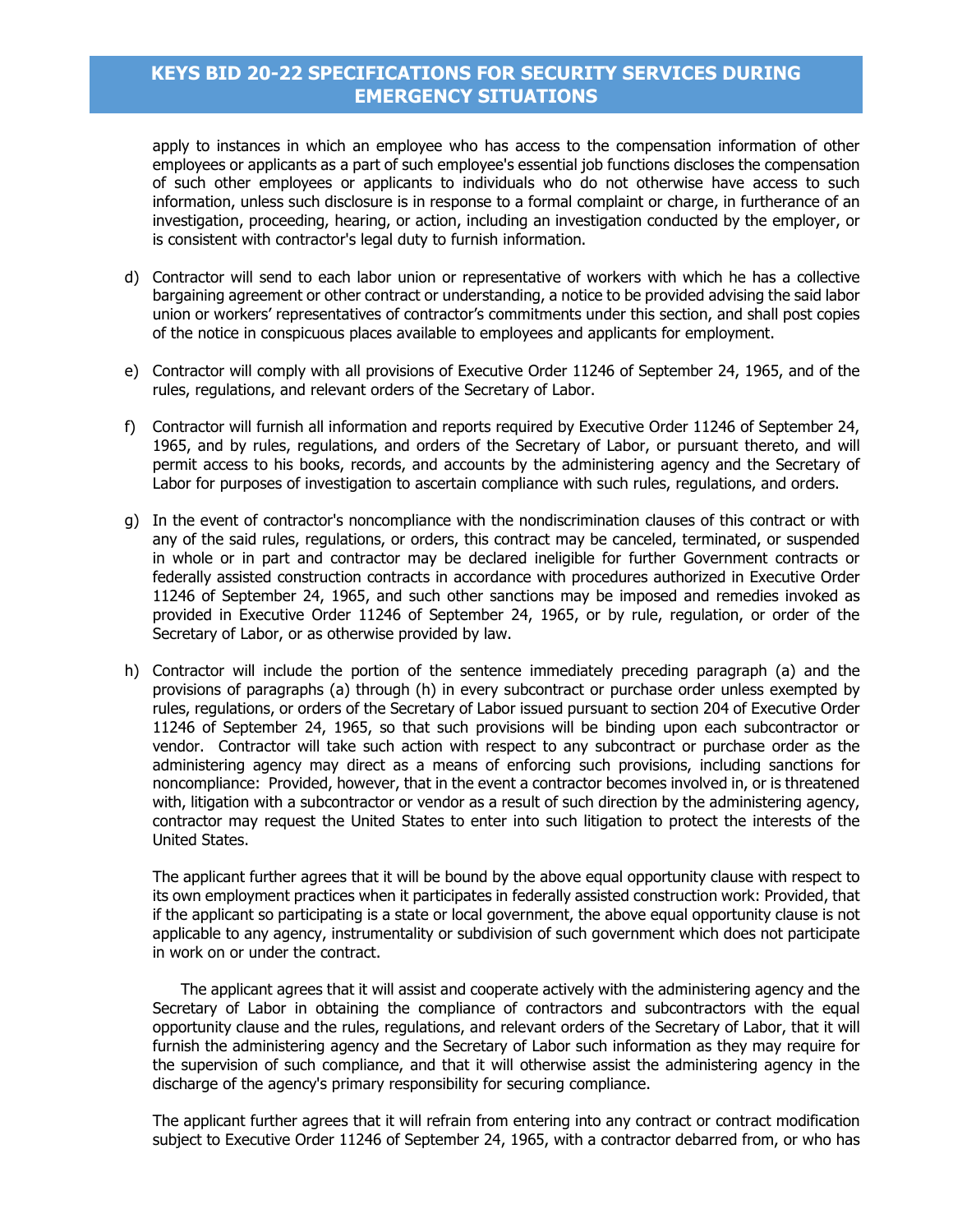apply to instances in which an employee who has access to the compensation information of other employees or applicants as a part of such employee's essential job functions discloses the compensation of such other employees or applicants to individuals who do not otherwise have access to such information, unless such disclosure is in response to a formal complaint or charge, in furtherance of an investigation, proceeding, hearing, or action, including an investigation conducted by the employer, or is consistent with contractor's legal duty to furnish information.

- d) Contractor will send to each labor union or representative of workers with which he has a collective bargaining agreement or other contract or understanding, a notice to be provided advising the said labor union or workers' representatives of contractor's commitments under this section, and shall post copies of the notice in conspicuous places available to employees and applicants for employment.
- e) Contractor will comply with all provisions of Executive Order 11246 of September 24, 1965, and of the rules, regulations, and relevant orders of the Secretary of Labor.
- f) Contractor will furnish all information and reports required by Executive Order 11246 of September 24, 1965, and by rules, regulations, and orders of the Secretary of Labor, or pursuant thereto, and will permit access to his books, records, and accounts by the administering agency and the Secretary of Labor for purposes of investigation to ascertain compliance with such rules, regulations, and orders.
- g) In the event of contractor's noncompliance with the nondiscrimination clauses of this contract or with any of the said rules, regulations, or orders, this contract may be canceled, terminated, or suspended in whole or in part and contractor may be declared ineligible for further Government contracts or federally assisted construction contracts in accordance with procedures authorized in Executive Order 11246 of September 24, 1965, and such other sanctions may be imposed and remedies invoked as provided in Executive Order 11246 of September 24, 1965, or by rule, regulation, or order of the Secretary of Labor, or as otherwise provided by law.
- h) Contractor will include the portion of the sentence immediately preceding paragraph (a) and the provisions of paragraphs (a) through (h) in every subcontract or purchase order unless exempted by rules, regulations, or orders of the Secretary of Labor issued pursuant to section 204 of Executive Order 11246 of September 24, 1965, so that such provisions will be binding upon each subcontractor or vendor. Contractor will take such action with respect to any subcontract or purchase order as the administering agency may direct as a means of enforcing such provisions, including sanctions for noncompliance: Provided, however, that in the event a contractor becomes involved in, or is threatened with, litigation with a subcontractor or vendor as a result of such direction by the administering agency, contractor may request the United States to enter into such litigation to protect the interests of the United States.

The applicant further agrees that it will be bound by the above equal opportunity clause with respect to its own employment practices when it participates in federally assisted construction work: Provided, that if the applicant so participating is a state or local government, the above equal opportunity clause is not applicable to any agency, instrumentality or subdivision of such government which does not participate in work on or under the contract.

The applicant agrees that it will assist and cooperate actively with the administering agency and the Secretary of Labor in obtaining the compliance of contractors and subcontractors with the equal opportunity clause and the rules, regulations, and relevant orders of the Secretary of Labor, that it will furnish the administering agency and the Secretary of Labor such information as they may require for the supervision of such compliance, and that it will otherwise assist the administering agency in the discharge of the agency's primary responsibility for securing compliance.

The applicant further agrees that it will refrain from entering into any contract or contract modification subject to Executive Order 11246 of September 24, 1965, with a contractor debarred from, or who has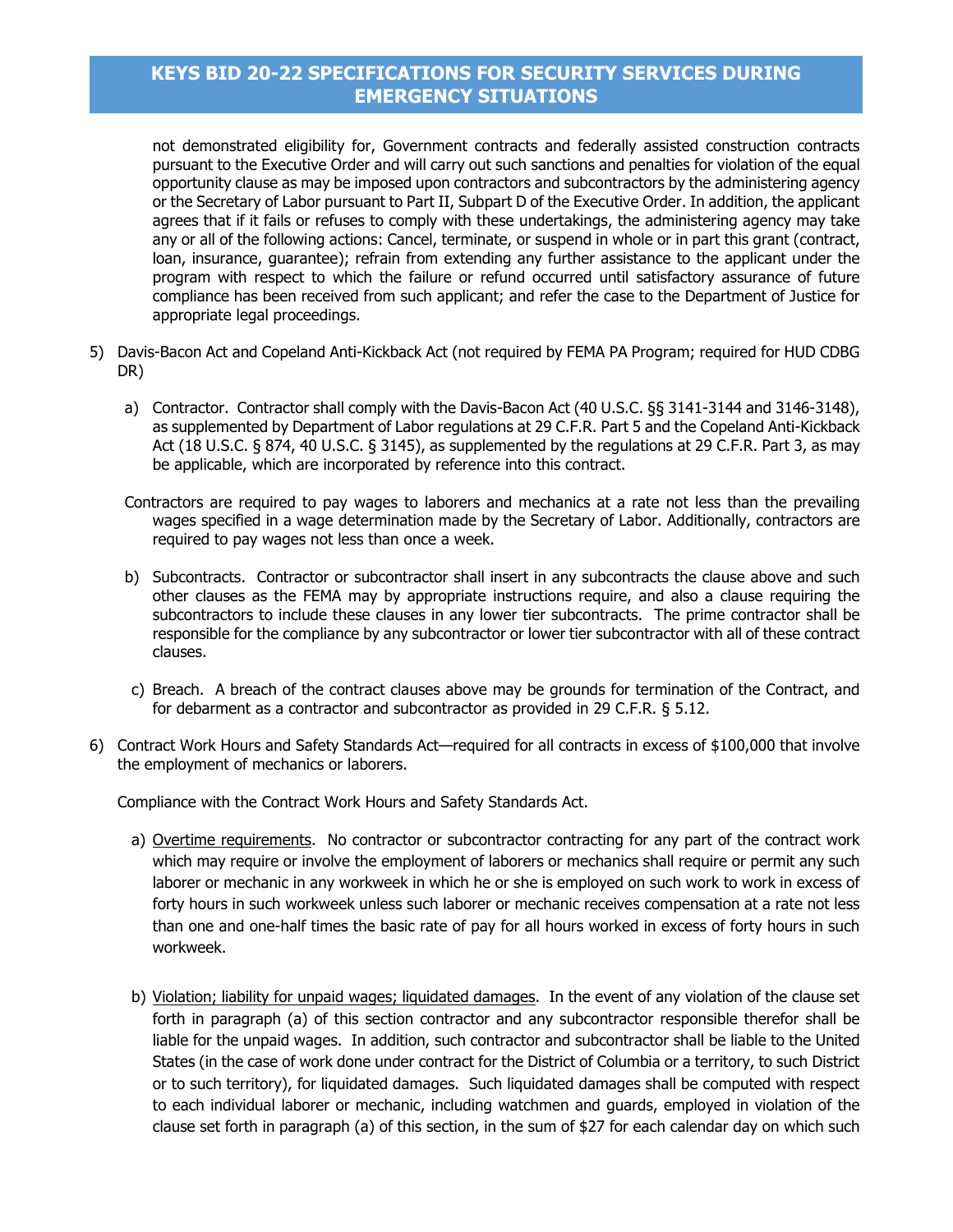not demonstrated eligibility for, Government contracts and federally assisted construction contracts pursuant to the Executive Order and will carry out such sanctions and penalties for violation of the equal opportunity clause as may be imposed upon contractors and subcontractors by the administering agency or the Secretary of Labor pursuant to Part II, Subpart D of the Executive Order. In addition, the applicant agrees that if it fails or refuses to comply with these undertakings, the administering agency may take any or all of the following actions: Cancel, terminate, or suspend in whole or in part this grant (contract, loan, insurance, guarantee); refrain from extending any further assistance to the applicant under the program with respect to which the failure or refund occurred until satisfactory assurance of future compliance has been received from such applicant; and refer the case to the Department of Justice for appropriate legal proceedings.

- 5) Davis-Bacon Act and Copeland Anti-Kickback Act (not required by FEMA PA Program; required for HUD CDBG DR)
	- a) Contractor. Contractor shall comply with the Davis-Bacon Act (40 U.S.C. §§ 3141-3144 and 3146-3148), as supplemented by Department of Labor regulations at 29 C.F.R. Part 5 and the Copeland Anti-Kickback Act (18 U.S.C. § 874, 40 U.S.C. § 3145), as supplemented by the regulations at 29 C.F.R. Part 3, as may be applicable, which are incorporated by reference into this contract.
	- Contractors are required to pay wages to laborers and mechanics at a rate not less than the prevailing wages specified in a wage determination made by the Secretary of Labor. Additionally, contractors are required to pay wages not less than once a week.
	- b) Subcontracts. Contractor or subcontractor shall insert in any subcontracts the clause above and such other clauses as the FEMA may by appropriate instructions require, and also a clause requiring the subcontractors to include these clauses in any lower tier subcontracts. The prime contractor shall be responsible for the compliance by any subcontractor or lower tier subcontractor with all of these contract clauses.
	- c) Breach. A breach of the contract clauses above may be grounds for termination of the Contract, and for debarment as a contractor and subcontractor as provided in 29 C.F.R. § 5.12.
- 6) Contract Work Hours and Safety Standards Act—required for all contracts in excess of \$100,000 that involve the employment of mechanics or laborers.

Compliance with the Contract Work Hours and Safety Standards Act.

- a) Overtime requirements. No contractor or subcontractor contracting for any part of the contract work which may require or involve the employment of laborers or mechanics shall require or permit any such laborer or mechanic in any workweek in which he or she is employed on such work to work in excess of forty hours in such workweek unless such laborer or mechanic receives compensation at a rate not less than one and one-half times the basic rate of pay for all hours worked in excess of forty hours in such workweek.
- b) Violation; liability for unpaid wages; liquidated damages. In the event of any violation of the clause set forth in paragraph (a) of this section contractor and any subcontractor responsible therefor shall be liable for the unpaid wages. In addition, such contractor and subcontractor shall be liable to the United States (in the case of work done under contract for the District of Columbia or a territory, to such District or to such territory), for liquidated damages. Such liquidated damages shall be computed with respect to each individual laborer or mechanic, including watchmen and guards, employed in violation of the clause set forth in paragraph (a) of this section, in the sum of \$27 for each calendar day on which such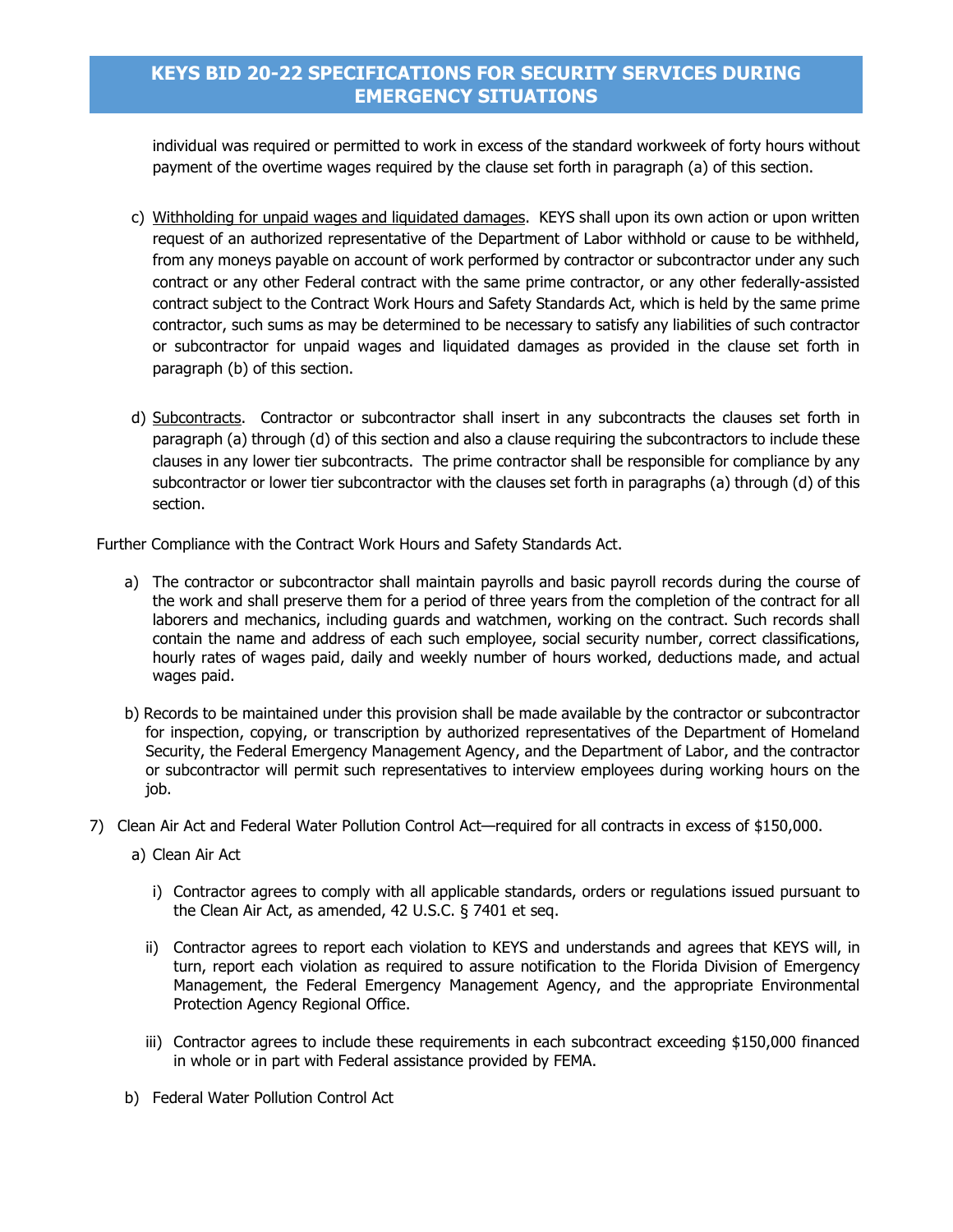individual was required or permitted to work in excess of the standard workweek of forty hours without payment of the overtime wages required by the clause set forth in paragraph (a) of this section.

- c) Withholding for unpaid wages and liquidated damages. KEYS shall upon its own action or upon written request of an authorized representative of the Department of Labor withhold or cause to be withheld, from any moneys payable on account of work performed by contractor or subcontractor under any such contract or any other Federal contract with the same prime contractor, or any other federally-assisted contract subject to the Contract Work Hours and Safety Standards Act, which is held by the same prime contractor, such sums as may be determined to be necessary to satisfy any liabilities of such contractor or subcontractor for unpaid wages and liquidated damages as provided in the clause set forth in paragraph (b) of this section.
- d) Subcontracts. Contractor or subcontractor shall insert in any subcontracts the clauses set forth in paragraph (a) through (d) of this section and also a clause requiring the subcontractors to include these clauses in any lower tier subcontracts. The prime contractor shall be responsible for compliance by any subcontractor or lower tier subcontractor with the clauses set forth in paragraphs (a) through (d) of this section.

Further Compliance with the Contract Work Hours and Safety Standards Act.

- a) The contractor or subcontractor shall maintain payrolls and basic payroll records during the course of the work and shall preserve them for a period of three years from the completion of the contract for all laborers and mechanics, including guards and watchmen, working on the contract. Such records shall contain the name and address of each such employee, social security number, correct classifications, hourly rates of wages paid, daily and weekly number of hours worked, deductions made, and actual wages paid.
- b) Records to be maintained under this provision shall be made available by the contractor or subcontractor for inspection, copying, or transcription by authorized representatives of the Department of Homeland Security, the Federal Emergency Management Agency, and the Department of Labor, and the contractor or subcontractor will permit such representatives to interview employees during working hours on the job.
- 7) Clean Air Act and Federal Water Pollution Control Act—required for all contracts in excess of \$150,000.
	- a) Clean Air Act
		- i) Contractor agrees to comply with all applicable standards, orders or regulations issued pursuant to the Clean Air Act, as amended, 42 U.S.C. § 7401 et seq.
		- ii) Contractor agrees to report each violation to KEYS and understands and agrees that KEYS will, in turn, report each violation as required to assure notification to the Florida Division of Emergency Management, the Federal Emergency Management Agency, and the appropriate Environmental Protection Agency Regional Office.
		- iii) Contractor agrees to include these requirements in each subcontract exceeding \$150,000 financed in whole or in part with Federal assistance provided by FEMA.
	- b) Federal Water Pollution Control Act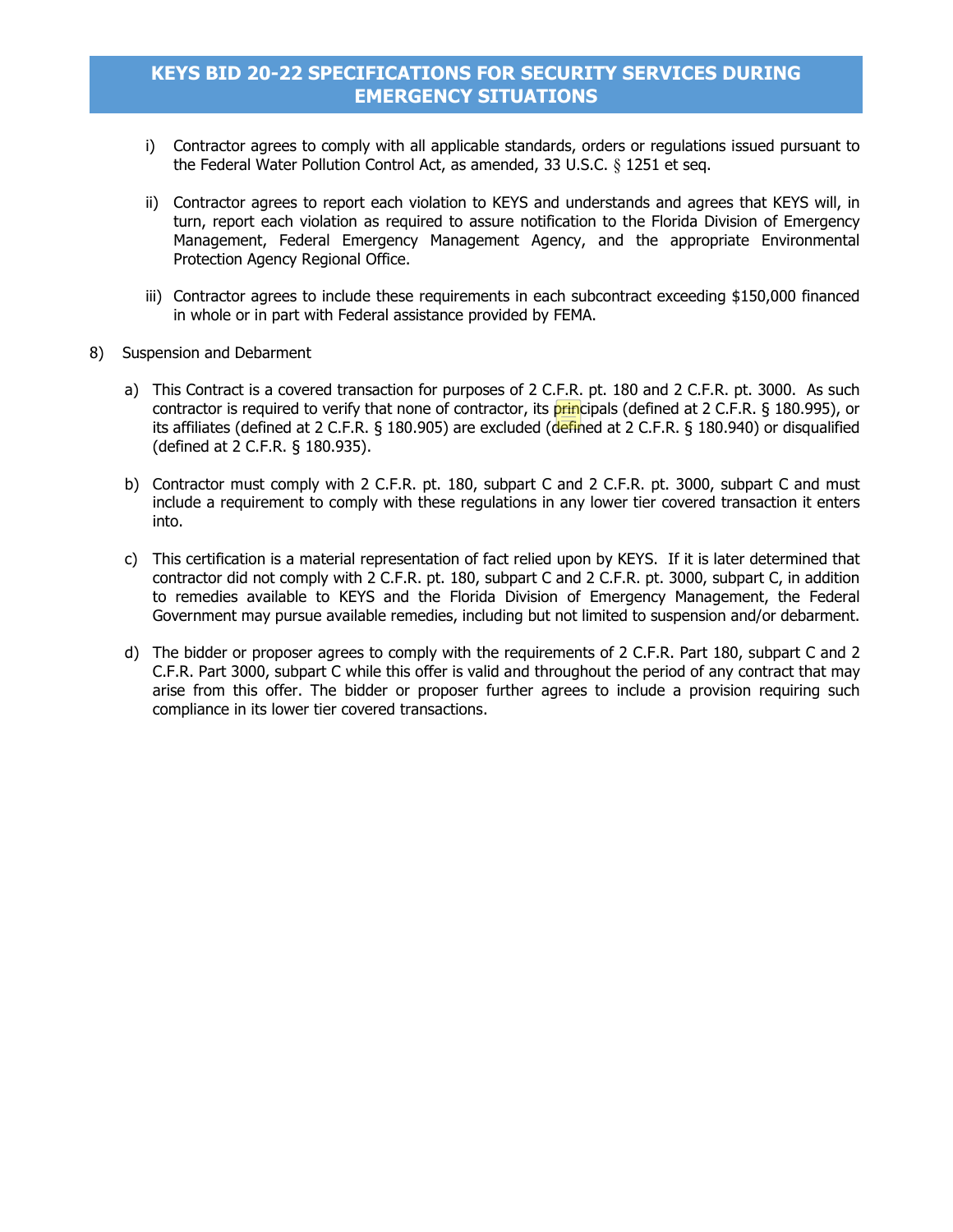- i) Contractor agrees to comply with all applicable standards, orders or regulations issued pursuant to the Federal Water Pollution Control Act, as amended, 33 U.S.C. § 1251 et seq.
- ii) Contractor agrees to report each violation to KEYS and understands and agrees that KEYS will, in turn, report each violation as required to assure notification to the Florida Division of Emergency Management, Federal Emergency Management Agency, and the appropriate Environmental Protection Agency Regional Office.
- iii) Contractor agrees to include these requirements in each subcontract exceeding \$150,000 financed in whole or in part with Federal assistance provided by FEMA.
- 8) Suspension and Debarment
	- a) This Contract is a covered transaction for purposes of 2 C.F.R. pt. 180 and 2 C.F.R. pt. 3000. As such contractor is required to verify that none of contractor, its principals (defined at 2 C.F.R. § 180.995), or its affiliates (defined at 2 C.F.R.  $\S$  180.905) are excluded (defined at 2 C.F.R.  $\S$  180.940) or disqualified (defined at 2 C.F.R. § 180.935).
	- b) Contractor must comply with 2 C.F.R. pt. 180, subpart C and 2 C.F.R. pt. 3000, subpart C and must include a requirement to comply with these regulations in any lower tier covered transaction it enters into.
	- c) This certification is a material representation of fact relied upon by KEYS. If it is later determined that contractor did not comply with 2 C.F.R. pt. 180, subpart C and 2 C.F.R. pt. 3000, subpart C, in addition to remedies available to KEYS and the Florida Division of Emergency Management, the Federal Government may pursue available remedies, including but not limited to suspension and/or debarment.
	- d) The bidder or proposer agrees to comply with the requirements of 2 C.F.R. Part 180, subpart C and 2 C.F.R. Part 3000, subpart C while this offer is valid and throughout the period of any contract that may arise from this offer. The bidder or proposer further agrees to include a provision requiring such compliance in its lower tier covered transactions.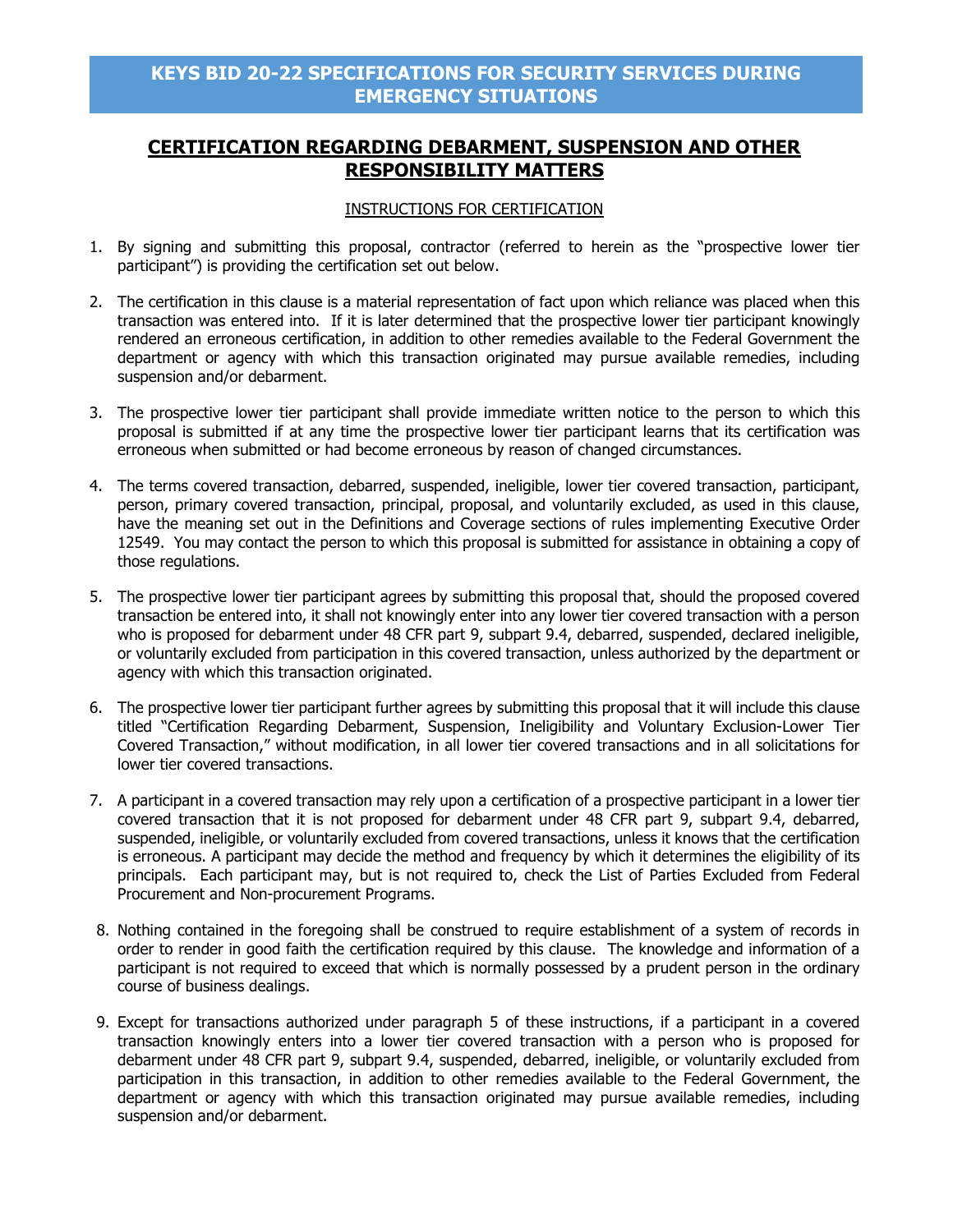# **CERTIFICATION REGARDING DEBARMENT, SUSPENSION AND OTHER RESPONSIBILITY MATTERS**

### INSTRUCTIONS FOR CERTIFICATION

- 1. By signing and submitting this proposal, contractor (referred to herein as the "prospective lower tier participant") is providing the certification set out below.
- 2. The certification in this clause is a material representation of fact upon which reliance was placed when this transaction was entered into. If it is later determined that the prospective lower tier participant knowingly rendered an erroneous certification, in addition to other remedies available to the Federal Government the department or agency with which this transaction originated may pursue available remedies, including suspension and/or debarment.
- 3. The prospective lower tier participant shall provide immediate written notice to the person to which this proposal is submitted if at any time the prospective lower tier participant learns that its certification was erroneous when submitted or had become erroneous by reason of changed circumstances.
- 4. The terms covered transaction, debarred, suspended, ineligible, lower tier covered transaction, participant, person, primary covered transaction, principal, proposal, and voluntarily excluded, as used in this clause, have the meaning set out in the Definitions and Coverage sections of rules implementing Executive Order 12549. You may contact the person to which this proposal is submitted for assistance in obtaining a copy of those regulations.
- 5. The prospective lower tier participant agrees by submitting this proposal that, should the proposed covered transaction be entered into, it shall not knowingly enter into any lower tier covered transaction with a person who is proposed for debarment under 48 CFR part 9, subpart 9.4, debarred, suspended, declared ineligible, or voluntarily excluded from participation in this covered transaction, unless authorized by the department or agency with which this transaction originated.
- 6. The prospective lower tier participant further agrees by submitting this proposal that it will include this clause titled "Certification Regarding Debarment, Suspension, Ineligibility and Voluntary Exclusion-Lower Tier Covered Transaction," without modification, in all lower tier covered transactions and in all solicitations for lower tier covered transactions.
- 7. A participant in a covered transaction may rely upon a certification of a prospective participant in a lower tier covered transaction that it is not proposed for debarment under 48 CFR part 9, subpart 9.4, debarred, suspended, ineligible, or voluntarily excluded from covered transactions, unless it knows that the certification is erroneous. A participant may decide the method and frequency by which it determines the eligibility of its principals. Each participant may, but is not required to, check the List of Parties Excluded from Federal Procurement and Non-procurement Programs.
- 8. Nothing contained in the foregoing shall be construed to require establishment of a system of records in order to render in good faith the certification required by this clause. The knowledge and information of a participant is not required to exceed that which is normally possessed by a prudent person in the ordinary course of business dealings.
- 9. Except for transactions authorized under paragraph 5 of these instructions, if a participant in a covered transaction knowingly enters into a lower tier covered transaction with a person who is proposed for debarment under 48 CFR part 9, subpart 9.4, suspended, debarred, ineligible, or voluntarily excluded from participation in this transaction, in addition to other remedies available to the Federal Government, the department or agency with which this transaction originated may pursue available remedies, including suspension and/or debarment.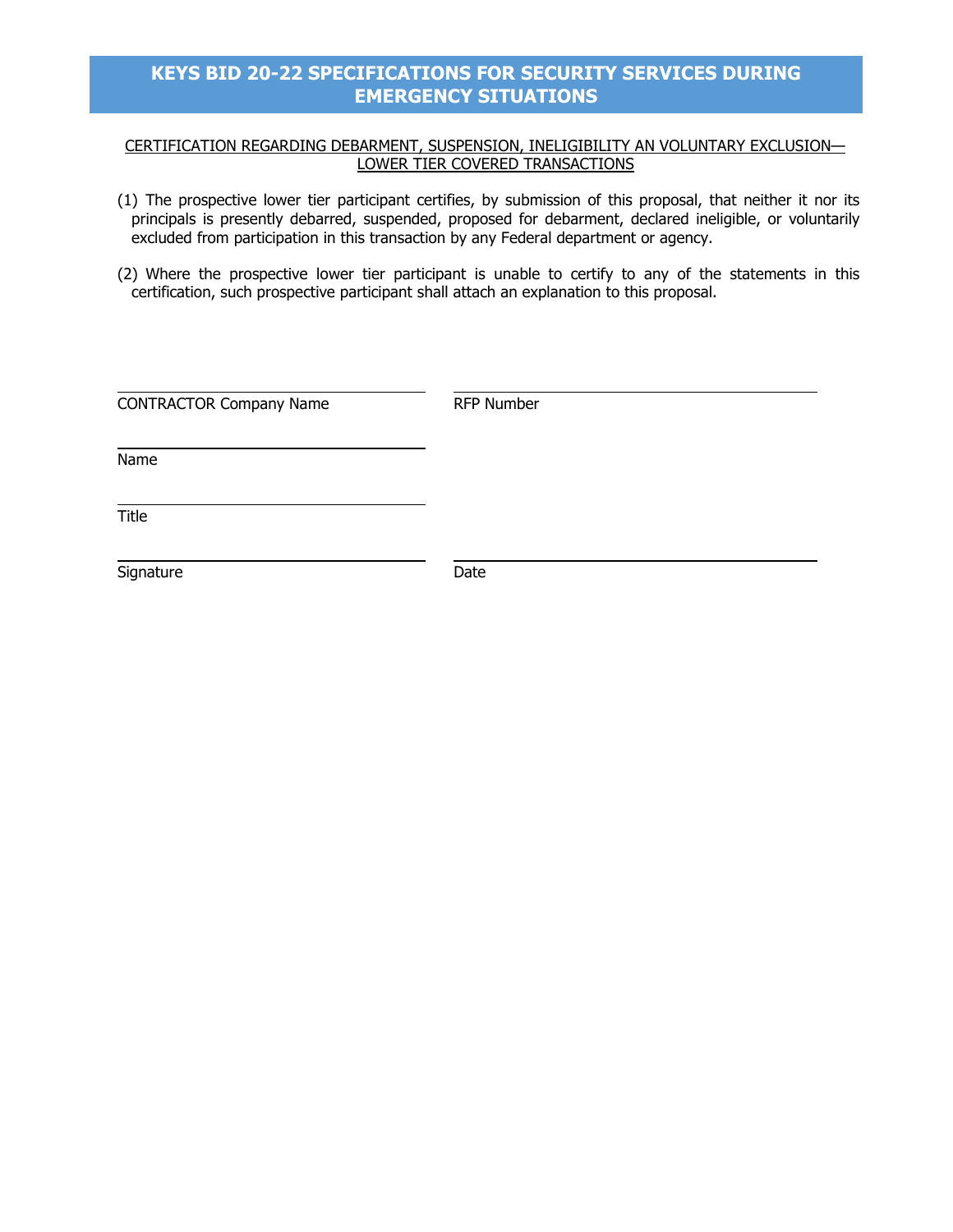### CERTIFICATION REGARDING DEBARMENT, SUSPENSION, INELIGIBILITY AN VOLUNTARY EXCLUSION— LOWER TIER COVERED TRANSACTIONS

- (1) The prospective lower tier participant certifies, by submission of this proposal, that neither it nor its principals is presently debarred, suspended, proposed for debarment, declared ineligible, or voluntarily excluded from participation in this transaction by any Federal department or agency.
- (2) Where the prospective lower tier participant is unable to certify to any of the statements in this certification, such prospective participant shall attach an explanation to this proposal.

| <b>CONTRACTOR Company Name</b> | RFP Number |
|--------------------------------|------------|
| Name                           |            |
| Title                          |            |
| Signature                      | Date       |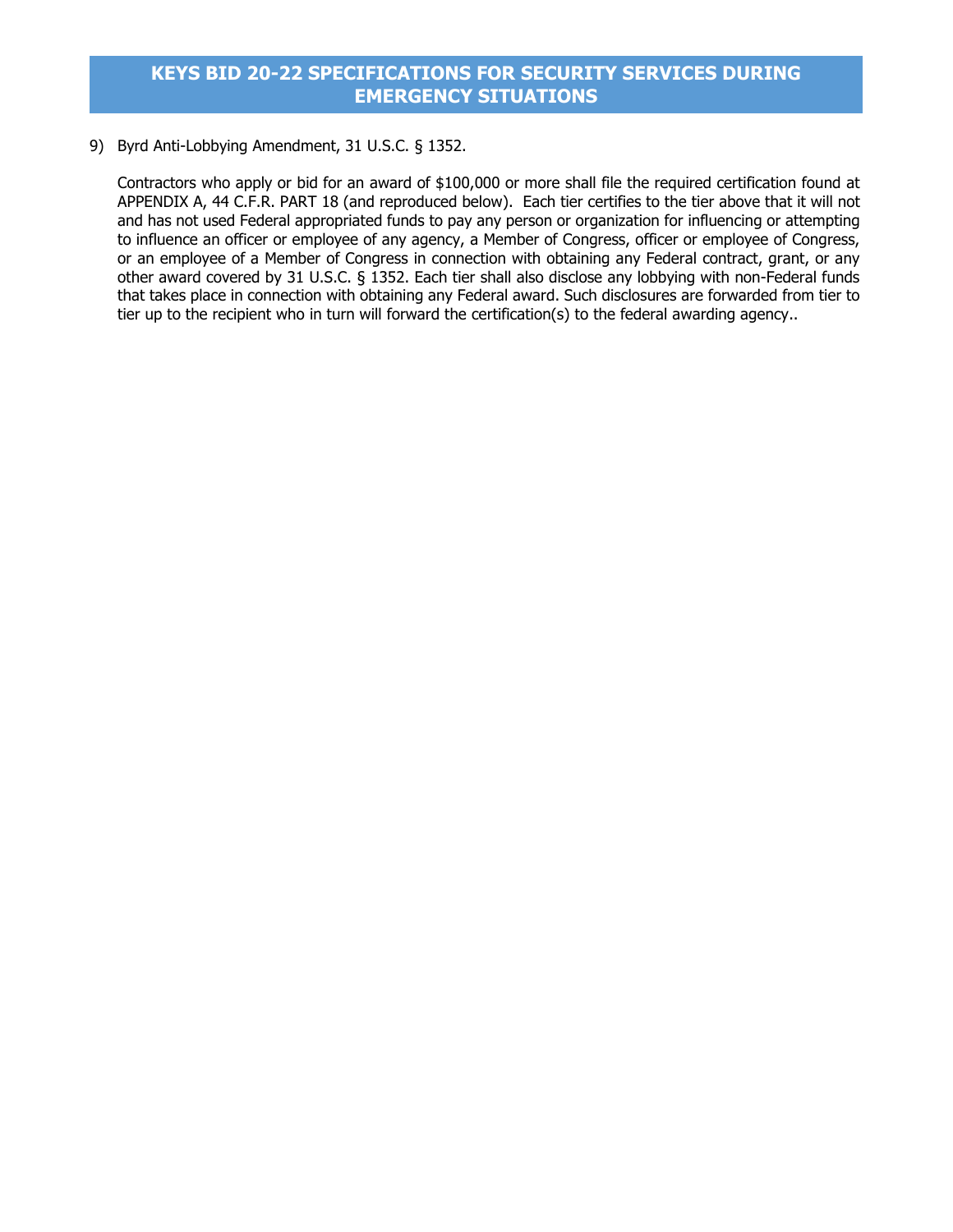9) Byrd Anti-Lobbying Amendment, 31 U.S.C. § 1352.

Contractors who apply or bid for an award of \$100,000 or more shall file the required certification found at APPENDIX A, 44 C.F.R. PART 18 (and reproduced below). Each tier certifies to the tier above that it will not and has not used Federal appropriated funds to pay any person or organization for influencing or attempting to influence an officer or employee of any agency, a Member of Congress, officer or employee of Congress, or an employee of a Member of Congress in connection with obtaining any Federal contract, grant, or any other award covered by 31 U.S.C. § 1352. Each tier shall also disclose any lobbying with non-Federal funds that takes place in connection with obtaining any Federal award. Such disclosures are forwarded from tier to tier up to the recipient who in turn will forward the certification(s) to the federal awarding agency..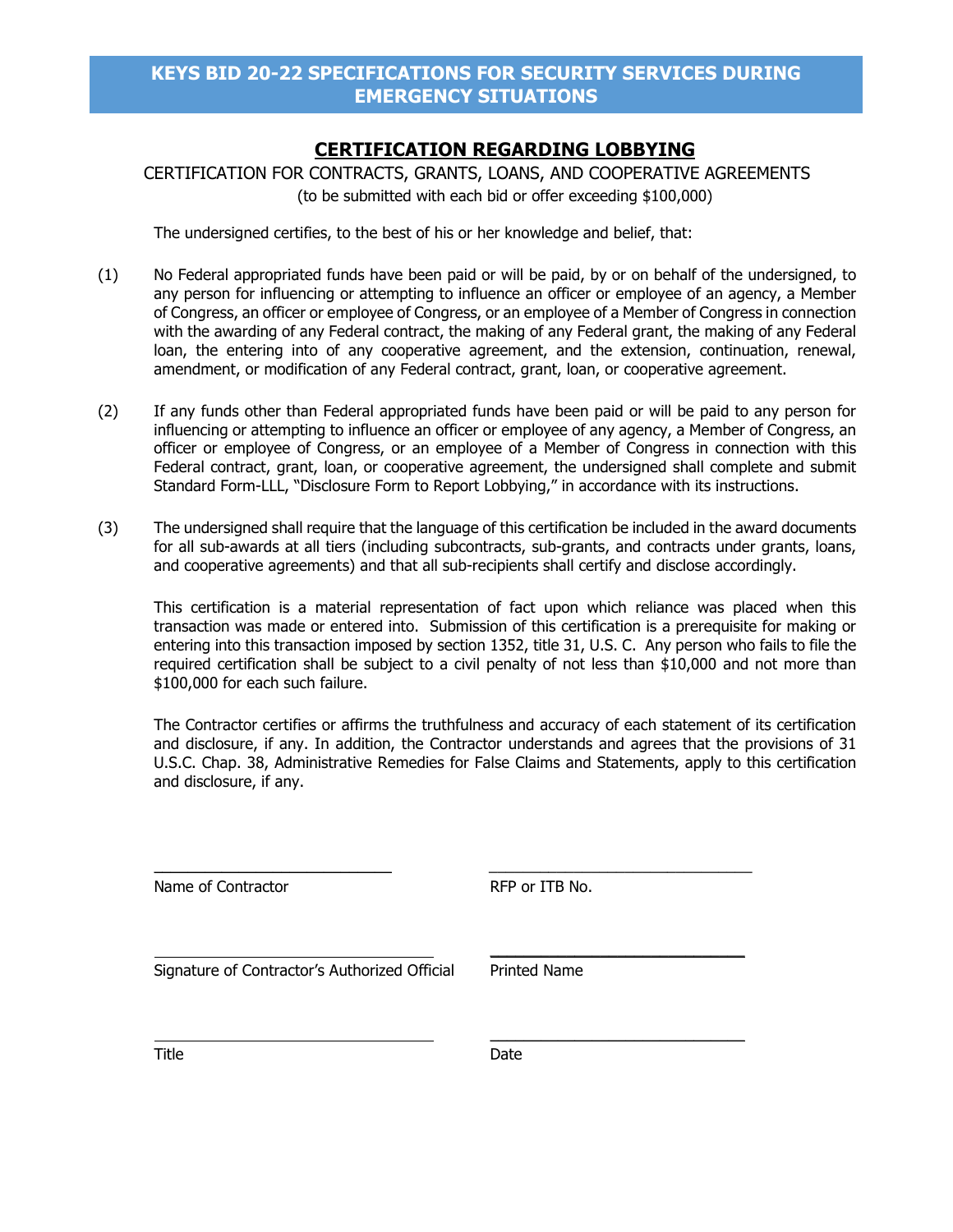# **CERTIFICATION REGARDING LOBBYING**

CERTIFICATION FOR CONTRACTS, GRANTS, LOANS, AND COOPERATIVE AGREEMENTS (to be submitted with each bid or offer exceeding \$100,000)

The undersigned certifies, to the best of his or her knowledge and belief, that:

- (1) No Federal appropriated funds have been paid or will be paid, by or on behalf of the undersigned, to any person for influencing or attempting to influence an officer or employee of an agency, a Member of Congress, an officer or employee of Congress, or an employee of a Member of Congress in connection with the awarding of any Federal contract, the making of any Federal grant, the making of any Federal loan, the entering into of any cooperative agreement, and the extension, continuation, renewal, amendment, or modification of any Federal contract, grant, loan, or cooperative agreement.
- (2) If any funds other than Federal appropriated funds have been paid or will be paid to any person for influencing or attempting to influence an officer or employee of any agency, a Member of Congress, an officer or employee of Congress, or an employee of a Member of Congress in connection with this Federal contract, grant, loan, or cooperative agreement, the undersigned shall complete and submit Standard Form-LLL, "Disclosure Form to Report Lobbying," in accordance with its instructions.
- (3) The undersigned shall require that the language of this certification be included in the award documents for all sub-awards at all tiers (including subcontracts, sub-grants, and contracts under grants, loans, and cooperative agreements) and that all sub-recipients shall certify and disclose accordingly.

This certification is a material representation of fact upon which reliance was placed when this transaction was made or entered into. Submission of this certification is a prerequisite for making or entering into this transaction imposed by section 1352, title 31, U.S. C. Any person who fails to file the required certification shall be subject to a civil penalty of not less than \$10,000 and not more than \$100,000 for each such failure.

The Contractor certifies or affirms the truthfulness and accuracy of each statement of its certification and disclosure, if any. In addition, the Contractor understands and agrees that the provisions of 31 U.S.C. Chap. 38, Administrative Remedies for False Claims and Statements, apply to this certification and disclosure, if any.

 $\overline{\phantom{a}}$  , and the contribution of the contribution of  $\overline{\phantom{a}}$  , and  $\overline{\phantom{a}}$  , and  $\overline{\phantom{a}}$  , and  $\overline{\phantom{a}}$ 

Name of Contractor **RFP** or ITB No.

Signature of Contractor's Authorized Official Printed Name

 $\overline{\phantom{a}}$  , and the set of the set of the set of the set of the set of the set of the set of the set of the set of the set of the set of the set of the set of the set of the set of the set of the set of the set of the s

 $\overline{\phantom{a}}$  , where  $\overline{\phantom{a}}$  , where  $\overline{\phantom{a}}$  , where  $\overline{\phantom{a}}$ 

Title **Date**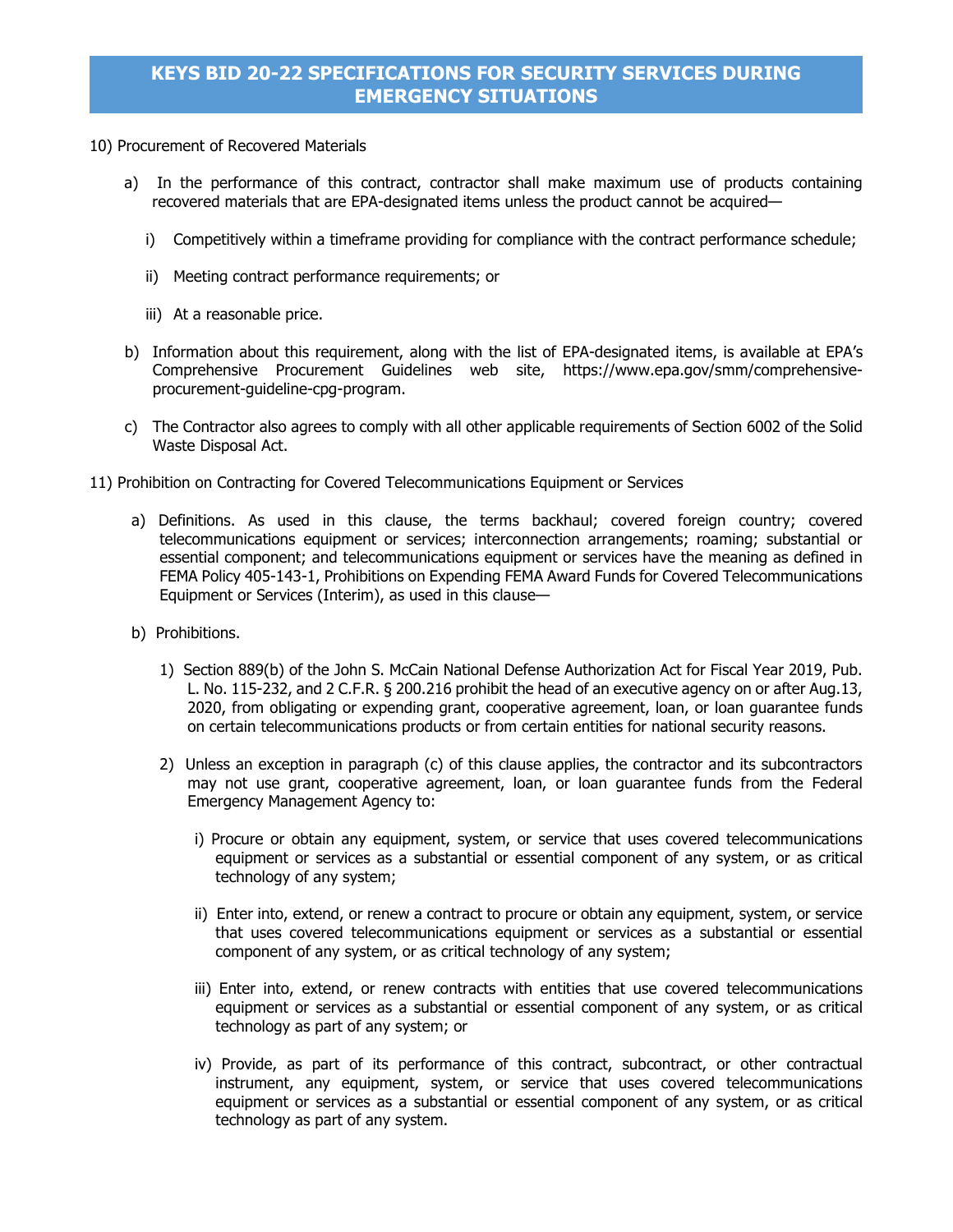### 10) Procurement of Recovered Materials

- a) In the performance of this contract, contractor shall make maximum use of products containing recovered materials that are EPA-designated items unless the product cannot be acquired
	- i) Competitively within a timeframe providing for compliance with the contract performance schedule;
	- ii) Meeting contract performance requirements; or
	- iii) At a reasonable price.
- b) Information about this requirement, along with the list of EPA-designated items, is available at EPA's Comprehensive Procurement Guidelines web site, https://www.epa.gov/smm/comprehensiveprocurement-guideline-cpg-program.
- c) The Contractor also agrees to comply with all other applicable requirements of Section 6002 of the Solid Waste Disposal Act.
- 11) Prohibition on Contracting for Covered Telecommunications Equipment or Services
	- a) Definitions. As used in this clause, the terms backhaul; covered foreign country; covered telecommunications equipment or services; interconnection arrangements; roaming; substantial or essential component; and telecommunications equipment or services have the meaning as defined in FEMA Policy 405-143-1, Prohibitions on Expending FEMA Award Funds for Covered Telecommunications Equipment or Services (Interim), as used in this clause—
	- b) Prohibitions.
		- 1) Section 889(b) of the John S. McCain National Defense Authorization Act for Fiscal Year 2019, Pub. L. No. 115-232, and 2 C.F.R. § 200.216 prohibit the head of an executive agency on or after Aug.13, 2020, from obligating or expending grant, cooperative agreement, loan, or loan guarantee funds on certain telecommunications products or from certain entities for national security reasons.
		- 2) Unless an exception in paragraph (c) of this clause applies, the contractor and its subcontractors may not use grant, cooperative agreement, loan, or loan guarantee funds from the Federal Emergency Management Agency to:
			- i) Procure or obtain any equipment, system, or service that uses covered telecommunications equipment or services as a substantial or essential component of any system, or as critical technology of any system;
			- ii) Enter into, extend, or renew a contract to procure or obtain any equipment, system, or service that uses covered telecommunications equipment or services as a substantial or essential component of any system, or as critical technology of any system;
			- iii) Enter into, extend, or renew contracts with entities that use covered telecommunications equipment or services as a substantial or essential component of any system, or as critical technology as part of any system; or
			- iv) Provide, as part of its performance of this contract, subcontract, or other contractual instrument, any equipment, system, or service that uses covered telecommunications equipment or services as a substantial or essential component of any system, or as critical technology as part of any system.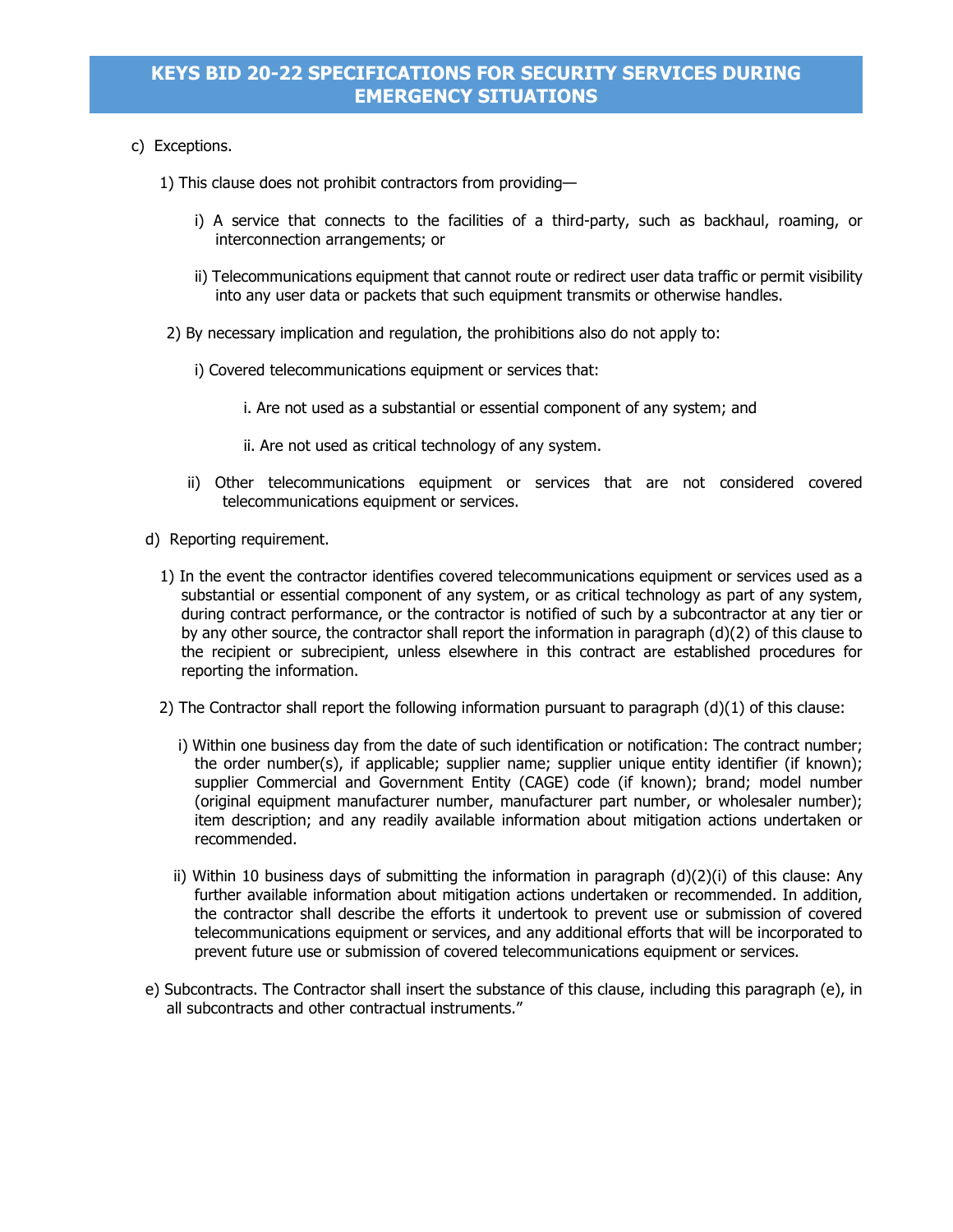- c) Exceptions.
	- 1) This clause does not prohibit contractors from providing
		- i) A service that connects to the facilities of a third-party, such as backhaul, roaming, or interconnection arrangements; or
		- ii) Telecommunications equipment that cannot route or redirect user data traffic or permit visibility into any user data or packets that such equipment transmits or otherwise handles.
	- 2) By necessary implication and regulation, the prohibitions also do not apply to:
		- i) Covered telecommunications equipment or services that:
			- i. Are not used as a substantial or essential component of any system; and
			- ii. Are not used as critical technology of any system.
		- ii) Other telecommunications equipment or services that are not considered covered telecommunications equipment or services.
	- d) Reporting requirement.
		- 1) In the event the contractor identifies covered telecommunications equipment or services used as a substantial or essential component of any system, or as critical technology as part of any system, during contract performance, or the contractor is notified of such by a subcontractor at any tier or by any other source, the contractor shall report the information in paragraph (d)(2) of this clause to the recipient or subrecipient, unless elsewhere in this contract are established procedures for reporting the information.
		- 2) The Contractor shall report the following information pursuant to paragraph (d)(1) of this clause:
			- i) Within one business day from the date of such identification or notification: The contract number; the order number(s), if applicable; supplier name; supplier unique entity identifier (if known); supplier Commercial and Government Entity (CAGE) code (if known); brand; model number (original equipment manufacturer number, manufacturer part number, or wholesaler number); item description; and any readily available information about mitigation actions undertaken or recommended.
			- ii) Within 10 business days of submitting the information in paragraph  $(d)(2)(i)$  of this clause: Any further available information about mitigation actions undertaken or recommended. In addition, the contractor shall describe the efforts it undertook to prevent use or submission of covered telecommunications equipment or services, and any additional efforts that will be incorporated to prevent future use or submission of covered telecommunications equipment or services.
	- e) Subcontracts. The Contractor shall insert the substance of this clause, including this paragraph (e), in all subcontracts and other contractual instruments."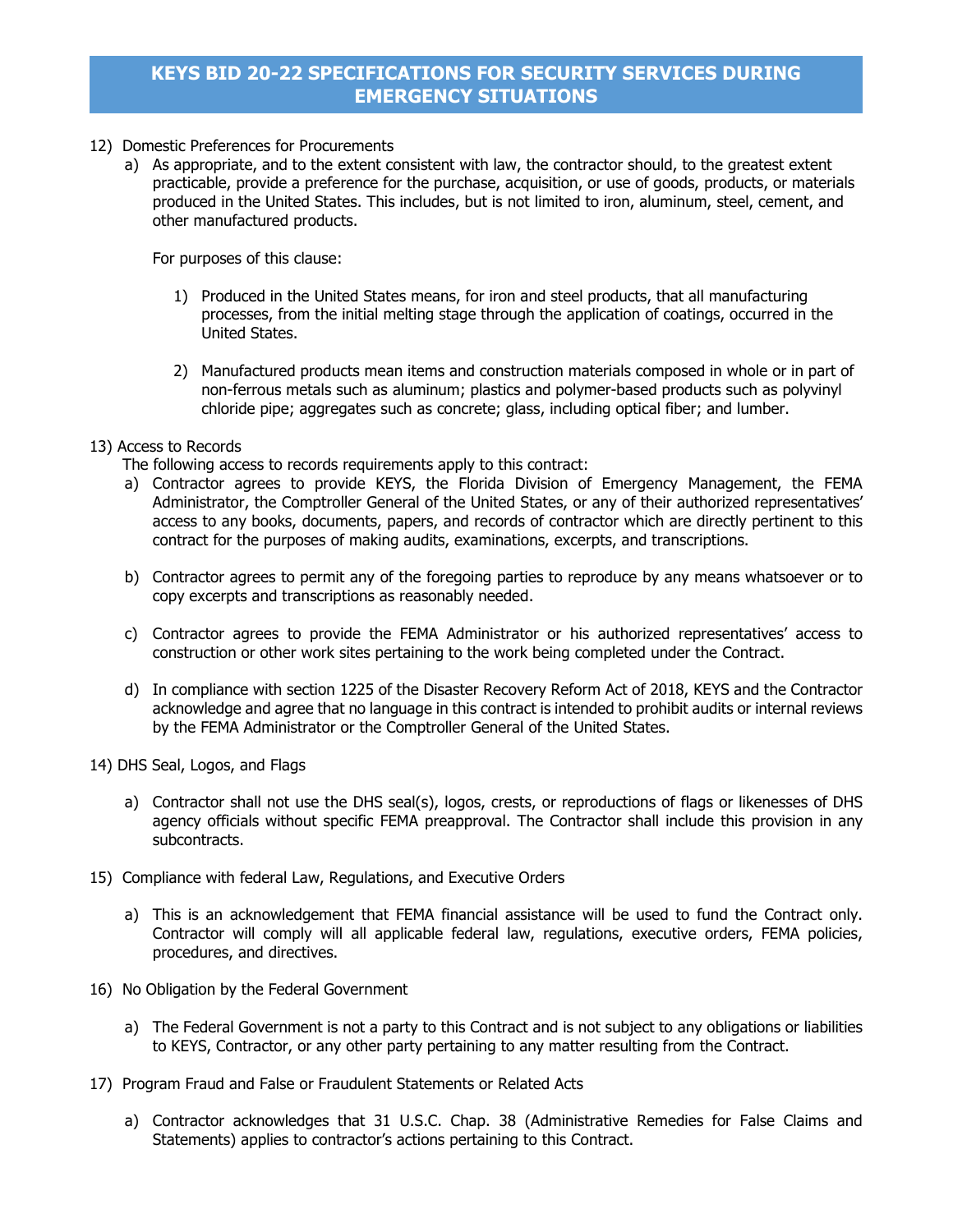- 12) Domestic Preferences for Procurements
	- a) As appropriate, and to the extent consistent with law, the contractor should, to the greatest extent practicable, provide a preference for the purchase, acquisition, or use of goods, products, or materials produced in the United States. This includes, but is not limited to iron, aluminum, steel, cement, and other manufactured products.

For purposes of this clause:

- 1) Produced in the United States means, for iron and steel products, that all manufacturing processes, from the initial melting stage through the application of coatings, occurred in the United States.
- 2) Manufactured products mean items and construction materials composed in whole or in part of non-ferrous metals such as aluminum; plastics and polymer-based products such as polyvinyl chloride pipe; aggregates such as concrete; glass, including optical fiber; and lumber.

### 13) Access to Records

The following access to records requirements apply to this contract:

- a) Contractor agrees to provide KEYS, the Florida Division of Emergency Management, the FEMA Administrator, the Comptroller General of the United States, or any of their authorized representatives' access to any books, documents, papers, and records of contractor which are directly pertinent to this contract for the purposes of making audits, examinations, excerpts, and transcriptions.
- b) Contractor agrees to permit any of the foregoing parties to reproduce by any means whatsoever or to copy excerpts and transcriptions as reasonably needed.
- c) Contractor agrees to provide the FEMA Administrator or his authorized representatives' access to construction or other work sites pertaining to the work being completed under the Contract.
- d) In compliance with section 1225 of the Disaster Recovery Reform Act of 2018, KEYS and the Contractor acknowledge and agree that no language in this contract is intended to prohibit audits or internal reviews by the FEMA Administrator or the Comptroller General of the United States.
- 14) DHS Seal, Logos, and Flags
	- a) Contractor shall not use the DHS seal(s), logos, crests, or reproductions of flags or likenesses of DHS agency officials without specific FEMA preapproval. The Contractor shall include this provision in any subcontracts.
- 15) Compliance with federal Law, Regulations, and Executive Orders
	- a) This is an acknowledgement that FEMA financial assistance will be used to fund the Contract only. Contractor will comply will all applicable federal law, regulations, executive orders, FEMA policies, procedures, and directives.
- 16) No Obligation by the Federal Government
	- a) The Federal Government is not a party to this Contract and is not subject to any obligations or liabilities to KEYS, Contractor, or any other party pertaining to any matter resulting from the Contract.
- 17) Program Fraud and False or Fraudulent Statements or Related Acts
	- a) Contractor acknowledges that 31 U.S.C. Chap. 38 (Administrative Remedies for False Claims and Statements) applies to contractor's actions pertaining to this Contract.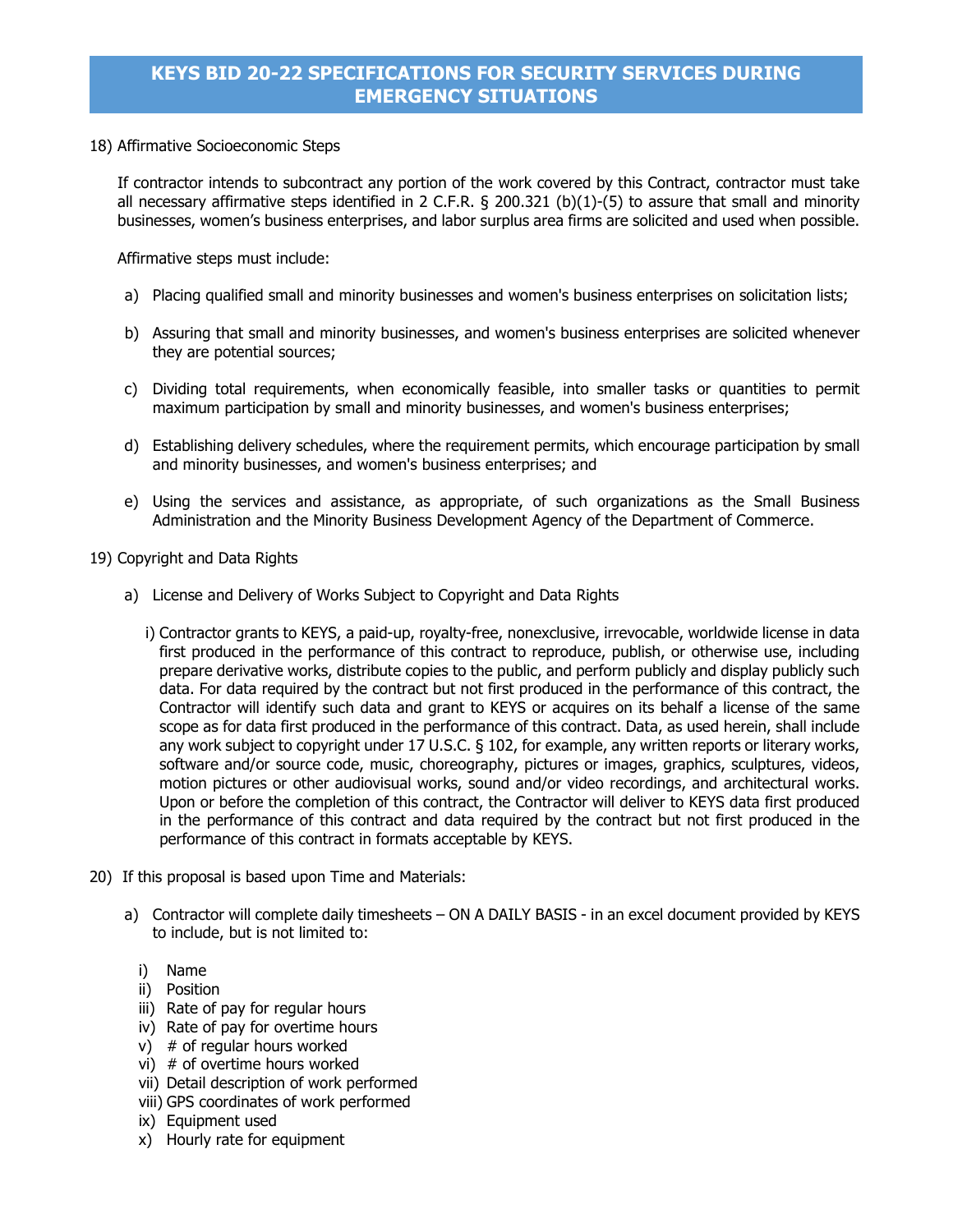### 18) Affirmative Socioeconomic Steps

If contractor intends to subcontract any portion of the work covered by this Contract, contractor must take all necessary affirmative steps identified in 2 C.F.R. § 200.321 (b)(1)-(5) to assure that small and minority businesses, women's business enterprises, and labor surplus area firms are solicited and used when possible.

Affirmative steps must include:

- a) Placing qualified small and minority businesses and women's business enterprises on solicitation lists;
- b) Assuring that small and minority businesses, and women's business enterprises are solicited whenever they are potential sources;
- c) Dividing total requirements, when economically feasible, into smaller tasks or quantities to permit maximum participation by small and minority businesses, and women's business enterprises;
- d) Establishing delivery schedules, where the requirement permits, which encourage participation by small and minority businesses, and women's business enterprises; and
- e) Using the services and assistance, as appropriate, of such organizations as the Small Business Administration and the Minority Business Development Agency of the Department of Commerce.

19) Copyright and Data Rights

- a) License and Delivery of Works Subject to Copyright and Data Rights
	- i) Contractor grants to KEYS, a paid-up, royalty-free, nonexclusive, irrevocable, worldwide license in data first produced in the performance of this contract to reproduce, publish, or otherwise use, including prepare derivative works, distribute copies to the public, and perform publicly and display publicly such data. For data required by the contract but not first produced in the performance of this contract, the Contractor will identify such data and grant to KEYS or acquires on its behalf a license of the same scope as for data first produced in the performance of this contract. Data, as used herein, shall include any work subject to copyright under 17 U.S.C. § 102, for example, any written reports or literary works, software and/or source code, music, choreography, pictures or images, graphics, sculptures, videos, motion pictures or other audiovisual works, sound and/or video recordings, and architectural works. Upon or before the completion of this contract, the Contractor will deliver to KEYS data first produced in the performance of this contract and data required by the contract but not first produced in the performance of this contract in formats acceptable by KEYS.
- 20) If this proposal is based upon Time and Materials:
	- a) Contractor will complete daily timesheets ON A DAILY BASIS in an excel document provided by KEYS to include, but is not limited to:
		- i) Name
		- ii) Position
		- iii) Rate of pay for regular hours
		- iv) Rate of pay for overtime hours
		- $v)$  # of regular hours worked
		- vi) # of overtime hours worked
		- vii) Detail description of work performed
		- viii) GPS coordinates of work performed
		- ix) Equipment used
		- x) Hourly rate for equipment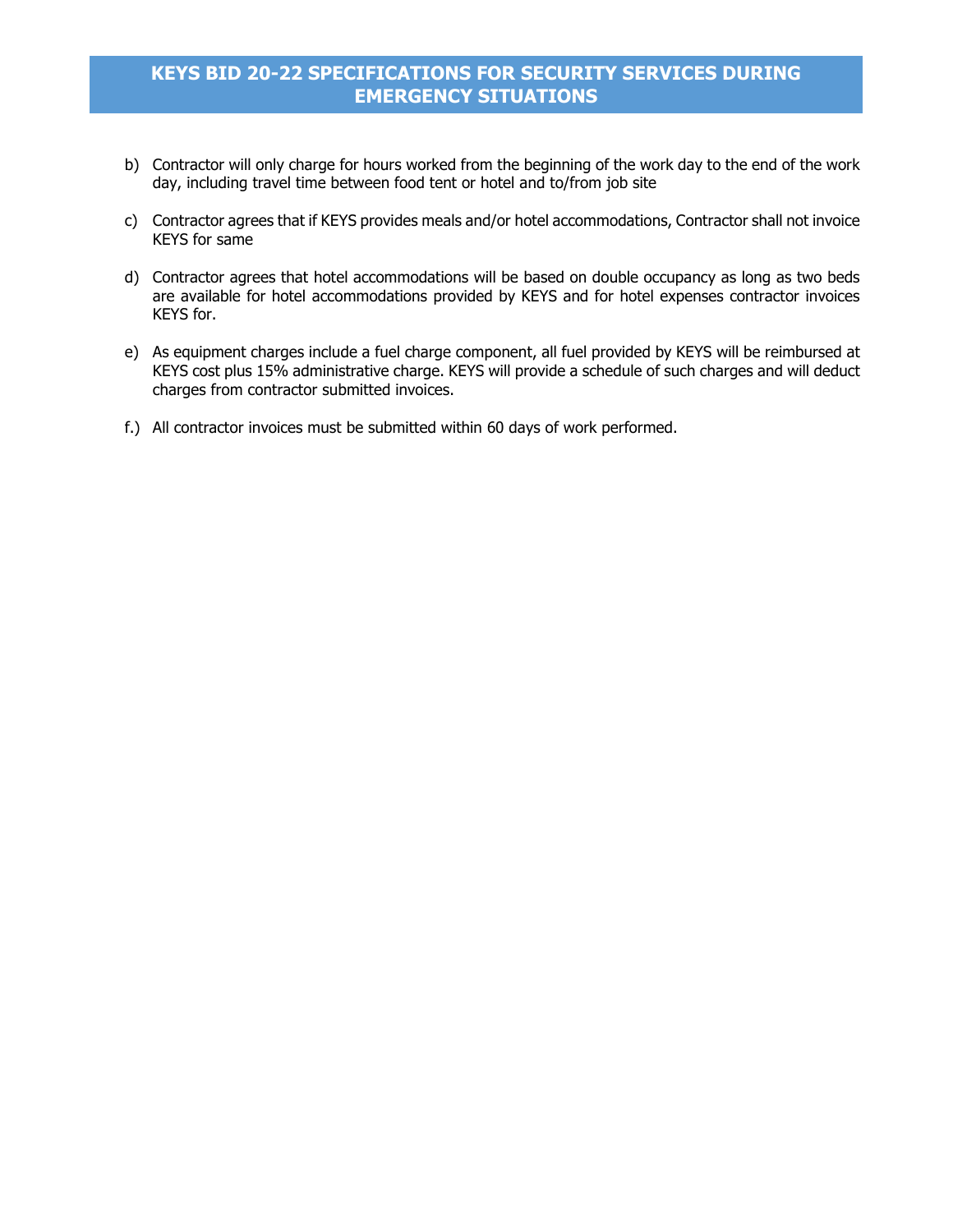- b) Contractor will only charge for hours worked from the beginning of the work day to the end of the work day, including travel time between food tent or hotel and to/from job site
- c) Contractor agrees that if KEYS provides meals and/or hotel accommodations, Contractor shall not invoice KEYS for same
- d) Contractor agrees that hotel accommodations will be based on double occupancy as long as two beds are available for hotel accommodations provided by KEYS and for hotel expenses contractor invoices KEYS for.
- e) As equipment charges include a fuel charge component, all fuel provided by KEYS will be reimbursed at KEYS cost plus 15% administrative charge. KEYS will provide a schedule of such charges and will deduct charges from contractor submitted invoices.
- f.) All contractor invoices must be submitted within 60 days of work performed.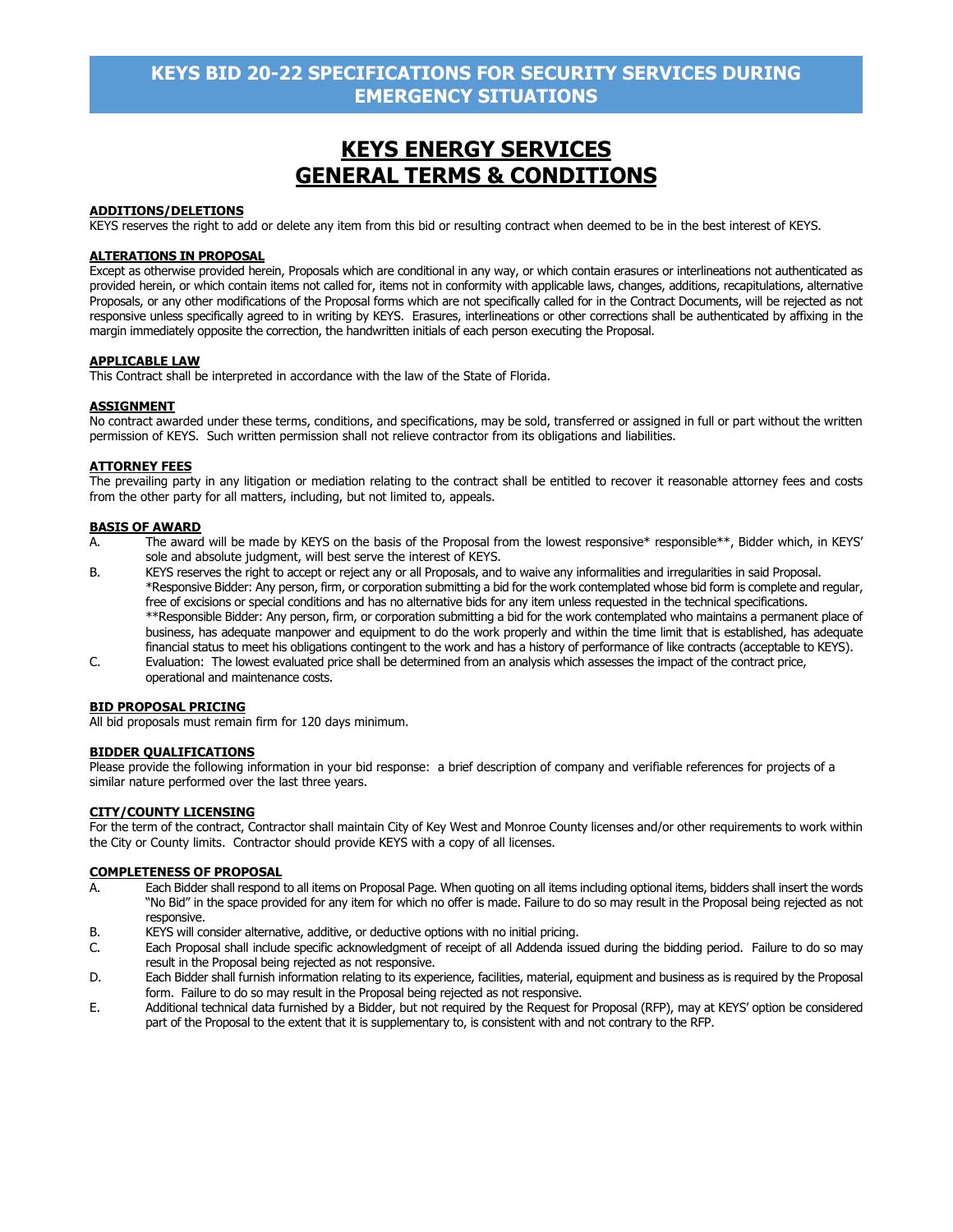# **KEYS ENERGY SERVICES GENERAL TERMS & CONDITIONS**

#### **ADDITIONS/DELETIONS**

KEYS reserves the right to add or delete any item from this bid or resulting contract when deemed to be in the best interest of KEYS.

#### **ALTERATIONS IN PROPOSAL**

Except as otherwise provided herein, Proposals which are conditional in any way, or which contain erasures or interlineations not authenticated as provided herein, or which contain items not called for, items not in conformity with applicable laws, changes, additions, recapitulations, alternative Proposals, or any other modifications of the Proposal forms which are not specifically called for in the Contract Documents, will be rejected as not responsive unless specifically agreed to in writing by KEYS. Erasures, interlineations or other corrections shall be authenticated by affixing in the margin immediately opposite the correction, the handwritten initials of each person executing the Proposal.

#### **APPLICABLE LAW**

This Contract shall be interpreted in accordance with the law of the State of Florida.

#### **ASSIGNMENT**

No contract awarded under these terms, conditions, and specifications, may be sold, transferred or assigned in full or part without the written permission of KEYS. Such written permission shall not relieve contractor from its obligations and liabilities.

#### **ATTORNEY FEES**

The prevailing party in any litigation or mediation relating to the contract shall be entitled to recover it reasonable attorney fees and costs from the other party for all matters, including, but not limited to, appeals.

#### **BASIS OF AWARD**

- A. The award will be made by KEYS on the basis of the Proposal from the lowest responsive\* responsible\*\*, Bidder which, in KEYS' sole and absolute judgment, will best serve the interest of KEYS.
- B. KEYS reserves the right to accept or reject any or all Proposals, and to waive any informalities and irregularities in said Proposal. \*Responsive Bidder: Any person, firm, or corporation submitting a bid for the work contemplated whose bid form is complete and regular, free of excisions or special conditions and has no alternative bids for any item unless requested in the technical specifications. \*\*Responsible Bidder: Any person, firm, or corporation submitting a bid for the work contemplated who maintains a permanent place of business, has adequate manpower and equipment to do the work properly and within the time limit that is established, has adequate financial status to meet his obligations contingent to the work and has a history of performance of like contracts (acceptable to KEYS).
- C. Evaluation: The lowest evaluated price shall be determined from an analysis which assesses the impact of the contract price, operational and maintenance costs.

#### **BID PROPOSAL PRICING**

All bid proposals must remain firm for 120 days minimum.

#### **BIDDER QUALIFICATIONS**

Please provide the following information in your bid response: a brief description of company and verifiable references for projects of a similar nature performed over the last three years.

#### **CITY/COUNTY LICENSING**

For the term of the contract, Contractor shall maintain City of Key West and Monroe County licenses and/or other requirements to work within the City or County limits. Contractor should provide KEYS with a copy of all licenses.

#### **COMPLETENESS OF PROPOSAL**

- A. Each Bidder shall respond to all items on Proposal Page. When quoting on all items including optional items, bidders shall insert the words "No Bid" in the space provided for any item for which no offer is made. Failure to do so may result in the Proposal being rejected as not responsive.
- B. KEYS will consider alternative, additive, or deductive options with no initial pricing.<br>C. Each Proposal shall include specific acknowledgment of receipt of all Addenda iss
- Each Proposal shall include specific acknowledgment of receipt of all Addenda issued during the bidding period. Failure to do so may result in the Proposal being rejected as not responsive.
- D. Each Bidder shall furnish information relating to its experience, facilities, material, equipment and business as is required by the Proposal form. Failure to do so may result in the Proposal being rejected as not responsive.
- E. Additional technical data furnished by a Bidder, but not required by the Request for Proposal (RFP), may at KEYS' option be considered part of the Proposal to the extent that it is supplementary to, is consistent with and not contrary to the RFP.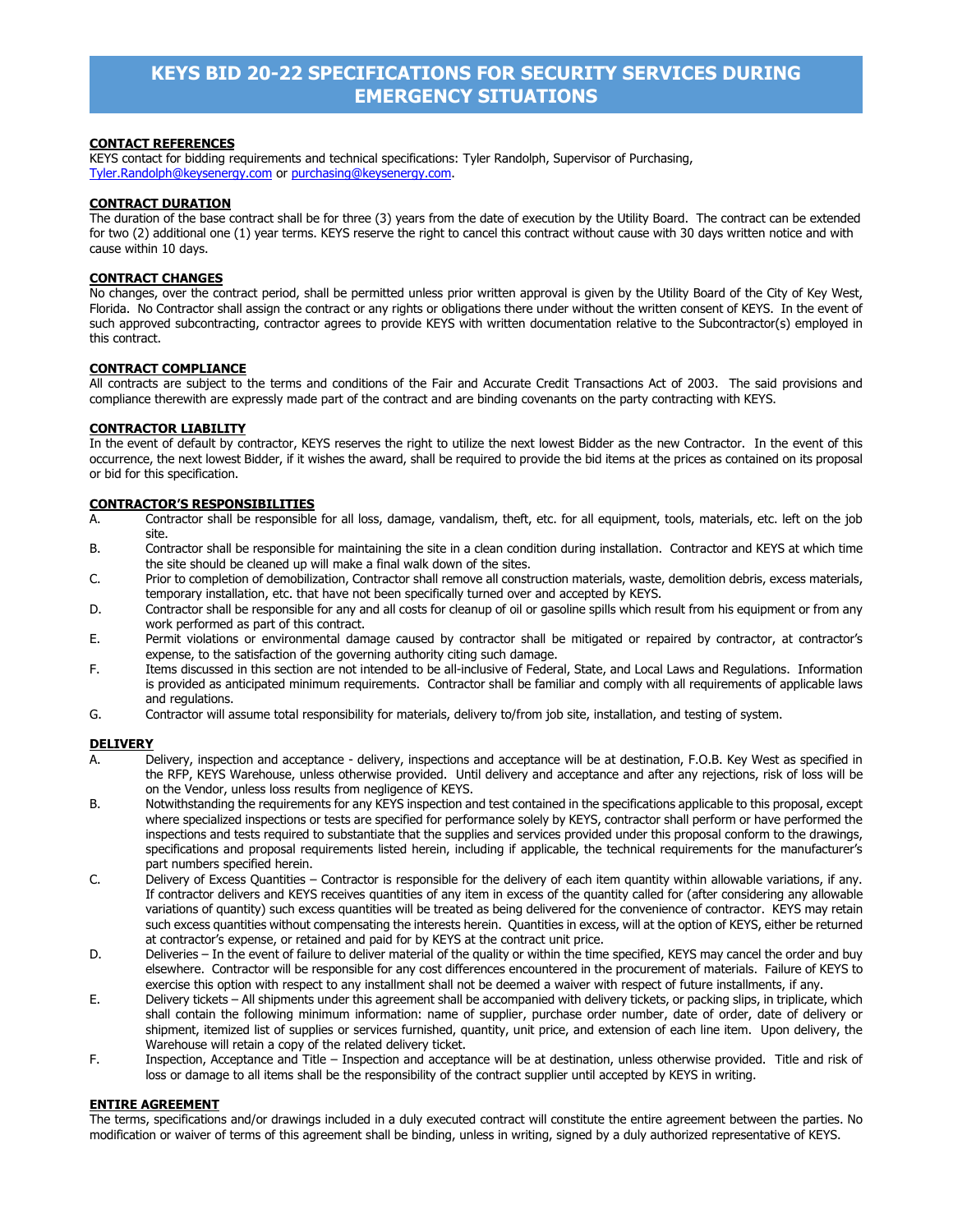#### **CONTACT REFERENCES**

KEYS contact for bidding requirements and technical specifications: Tyler Randolph, Supervisor of Purchasing, [Tyler.Randolph@keysenergy.com](mailto:Tyler.Randolph@keysenergy.com) or [purchasing@keysenergy.com.](mailto:purchasing@keysenergy.com)

#### **CONTRACT DURATION**

The duration of the base contract shall be for three (3) years from the date of execution by the Utility Board. The contract can be extended for two (2) additional one (1) year terms. KEYS reserve the right to cancel this contract without cause with 30 days written notice and with cause within 10 days.

#### **CONTRACT CHANGES**

No changes, over the contract period, shall be permitted unless prior written approval is given by the Utility Board of the City of Key West, Florida. No Contractor shall assign the contract or any rights or obligations there under without the written consent of KEYS. In the event of such approved subcontracting, contractor agrees to provide KEYS with written documentation relative to the Subcontractor(s) employed in this contract.

#### **CONTRACT COMPLIANCE**

All contracts are subject to the terms and conditions of the Fair and Accurate Credit Transactions Act of 2003. The said provisions and compliance therewith are expressly made part of the contract and are binding covenants on the party contracting with KEYS.

#### **CONTRACTOR LIABILITY**

In the event of default by contractor, KEYS reserves the right to utilize the next lowest Bidder as the new Contractor. In the event of this occurrence, the next lowest Bidder, if it wishes the award, shall be required to provide the bid items at the prices as contained on its proposal or bid for this specification.

#### **CONTRACTOR'S RESPONSIBILITIES**

- A. Contractor shall be responsible for all loss, damage, vandalism, theft, etc. for all equipment, tools, materials, etc. left on the job site.
- B. Contractor shall be responsible for maintaining the site in a clean condition during installation. Contractor and KEYS at which time the site should be cleaned up will make a final walk down of the sites.
- C. Prior to completion of demobilization, Contractor shall remove all construction materials, waste, demolition debris, excess materials, temporary installation, etc. that have not been specifically turned over and accepted by KEYS.
- D. Contractor shall be responsible for any and all costs for cleanup of oil or gasoline spills which result from his equipment or from any work performed as part of this contract.
- E. Permit violations or environmental damage caused by contractor shall be mitigated or repaired by contractor, at contractor's expense, to the satisfaction of the governing authority citing such damage.
- F. Items discussed in this section are not intended to be all-inclusive of Federal, State, and Local Laws and Regulations. Information is provided as anticipated minimum requirements. Contractor shall be familiar and comply with all requirements of applicable laws and regulations.
- G. Contractor will assume total responsibility for materials, delivery to/from job site, installation, and testing of system.

#### **DELIVERY**

- A. Delivery, inspection and acceptance delivery, inspections and acceptance will be at destination, F.O.B. Key West as specified in the RFP, KEYS Warehouse, unless otherwise provided. Until delivery and acceptance and after any rejections, risk of loss will be on the Vendor, unless loss results from negligence of KEYS.
- B. Notwithstanding the requirements for any KEYS inspection and test contained in the specifications applicable to this proposal, except where specialized inspections or tests are specified for performance solely by KEYS, contractor shall perform or have performed the inspections and tests required to substantiate that the supplies and services provided under this proposal conform to the drawings, specifications and proposal requirements listed herein, including if applicable, the technical requirements for the manufacturer's part numbers specified herein.
- C. Delivery of Excess Quantities Contractor is responsible for the delivery of each item quantity within allowable variations, if any. If contractor delivers and KEYS receives quantities of any item in excess of the quantity called for (after considering any allowable variations of quantity) such excess quantities will be treated as being delivered for the convenience of contractor. KEYS may retain such excess quantities without compensating the interests herein. Quantities in excess, will at the option of KEYS, either be returned at contractor's expense, or retained and paid for by KEYS at the contract unit price.
- D. Deliveries In the event of failure to deliver material of the quality or within the time specified, KEYS may cancel the order and buy elsewhere. Contractor will be responsible for any cost differences encountered in the procurement of materials. Failure of KEYS to exercise this option with respect to any installment shall not be deemed a waiver with respect of future installments, if any.
- E. Delivery tickets All shipments under this agreement shall be accompanied with delivery tickets, or packing slips, in triplicate, which shall contain the following minimum information: name of supplier, purchase order number, date of order, date of delivery or shipment, itemized list of supplies or services furnished, quantity, unit price, and extension of each line item. Upon delivery, the Warehouse will retain a copy of the related delivery ticket.
- F. Inspection, Acceptance and Title Inspection and acceptance will be at destination, unless otherwise provided. Title and risk of loss or damage to all items shall be the responsibility of the contract supplier until accepted by KEYS in writing.

#### **ENTIRE AGREEMENT**

The terms, specifications and/or drawings included in a duly executed contract will constitute the entire agreement between the parties. No modification or waiver of terms of this agreement shall be binding, unless in writing, signed by a duly authorized representative of KEYS.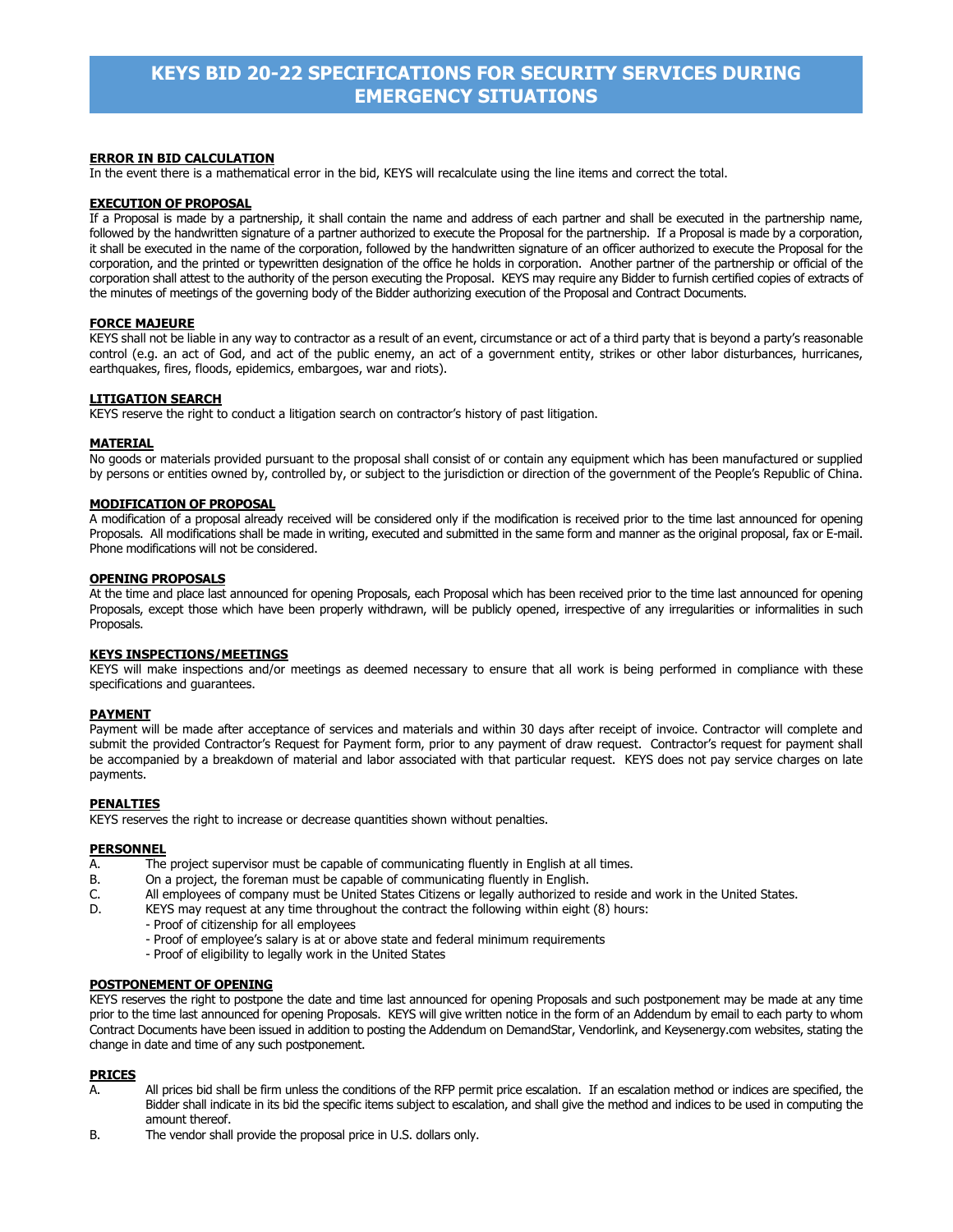#### **ERROR IN BID CALCULATION**

In the event there is a mathematical error in the bid, KEYS will recalculate using the line items and correct the total.

#### **EXECUTION OF PROPOSAL**

If a Proposal is made by a partnership, it shall contain the name and address of each partner and shall be executed in the partnership name, followed by the handwritten signature of a partner authorized to execute the Proposal for the partnership. If a Proposal is made by a corporation, it shall be executed in the name of the corporation, followed by the handwritten signature of an officer authorized to execute the Proposal for the corporation, and the printed or typewritten designation of the office he holds in corporation. Another partner of the partnership or official of the corporation shall attest to the authority of the person executing the Proposal. KEYS may require any Bidder to furnish certified copies of extracts of the minutes of meetings of the governing body of the Bidder authorizing execution of the Proposal and Contract Documents.

#### **FORCE MAJEURE**

KEYS shall not be liable in any way to contractor as a result of an event, circumstance or act of a third party that is beyond a party's reasonable control (e.g. an act of God, and act of the public enemy, an act of a government entity, strikes or other labor disturbances, hurricanes, earthquakes, fires, floods, epidemics, embargoes, war and riots).

#### **LITIGATION SEARCH**

KEYS reserve the right to conduct a litigation search on contractor's history of past litigation.

#### **MATERIAL**

No goods or materials provided pursuant to the proposal shall consist of or contain any equipment which has been manufactured or supplied by persons or entities owned by, controlled by, or subject to the jurisdiction or direction of the government of the People's Republic of China.

#### **MODIFICATION OF PROPOSAL**

A modification of a proposal already received will be considered only if the modification is received prior to the time last announced for opening Proposals. All modifications shall be made in writing, executed and submitted in the same form and manner as the original proposal, fax or E-mail. Phone modifications will not be considered.

#### **OPENING PROPOSALS**

At the time and place last announced for opening Proposals, each Proposal which has been received prior to the time last announced for opening Proposals, except those which have been properly withdrawn, will be publicly opened, irrespective of any irregularities or informalities in such Proposals.

#### **KEYS INSPECTIONS/MEETINGS**

KEYS will make inspections and/or meetings as deemed necessary to ensure that all work is being performed in compliance with these specifications and guarantees.

#### **PAYMENT**

Payment will be made after acceptance of services and materials and within 30 days after receipt of invoice. Contractor will complete and submit the provided Contractor's Request for Payment form, prior to any payment of draw request. Contractor's request for payment shall be accompanied by a breakdown of material and labor associated with that particular request. KEYS does not pay service charges on late payments.

#### **PENALTIES**

KEYS reserves the right to increase or decrease quantities shown without penalties.

#### **PERSONNEL**

- A. The project supervisor must be capable of communicating fluently in English at all times.<br>B. Con a project, the foreman must be capable of communicating fluently in English.
- On a project, the foreman must be capable of communicating fluently in English.
- C. All employees of company must be United States Citizens or legally authorized to reside and work in the United States.
	- KEYS may request at any time throughout the contract the following within eight (8) hours:
		- Proof of citizenship for all employees
		- Proof of employee's salary is at or above state and federal minimum requirements
		- Proof of eligibility to legally work in the United States

#### **POSTPONEMENT OF OPENING**

KEYS reserves the right to postpone the date and time last announced for opening Proposals and such postponement may be made at any time prior to the time last announced for opening Proposals. KEYS will give written notice in the form of an Addendum by email to each party to whom Contract Documents have been issued in addition to posting the Addendum on DemandStar, Vendorlink, and Keysenergy.com websites, stating the change in date and time of any such postponement.

#### **PRICES**

- A. All prices bid shall be firm unless the conditions of the RFP permit price escalation. If an escalation method or indices are specified, the Bidder shall indicate in its bid the specific items subject to escalation, and shall give the method and indices to be used in computing the amount thereof.
- B. The vendor shall provide the proposal price in U.S. dollars only.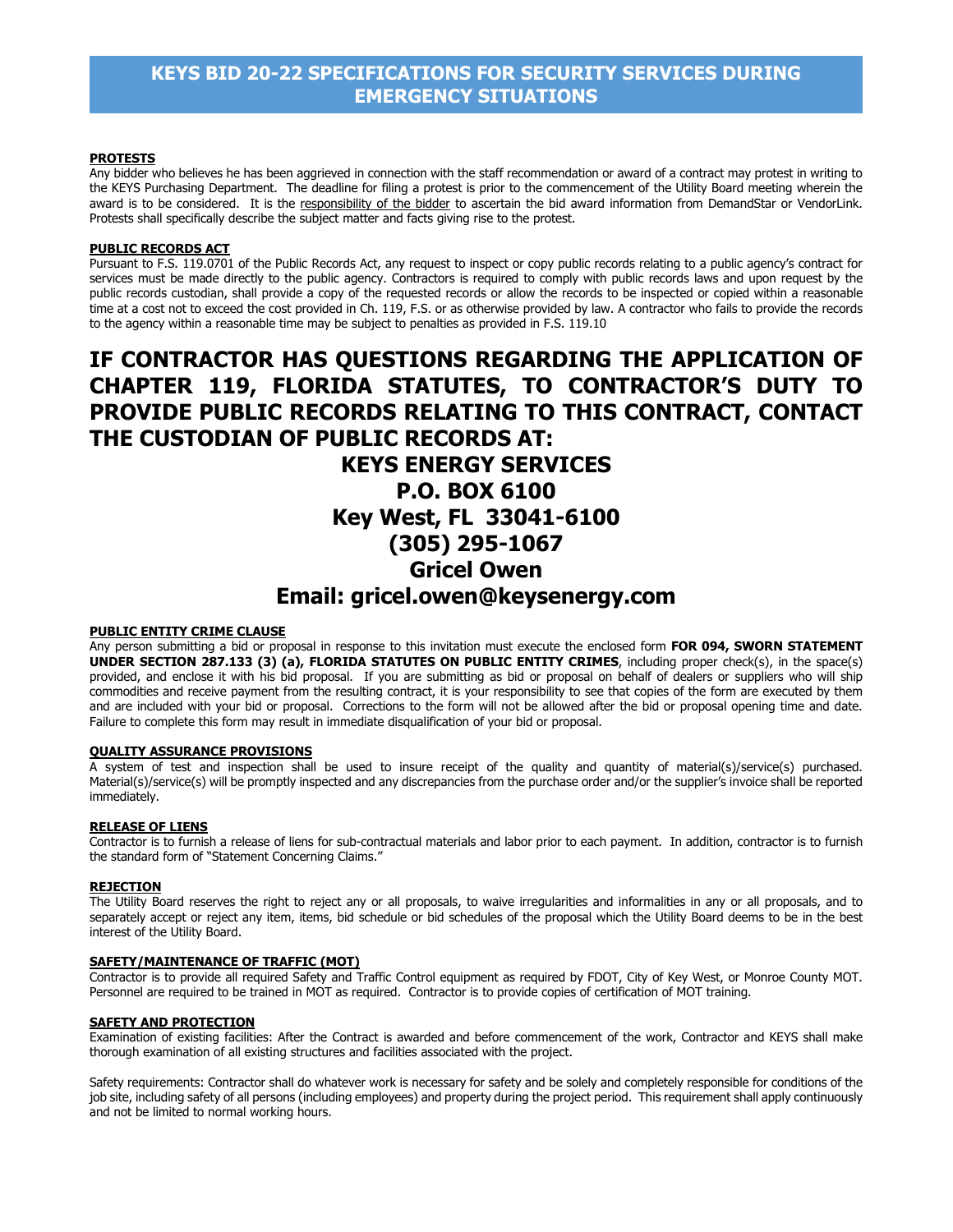#### **PROTESTS**

Any bidder who believes he has been aggrieved in connection with the staff recommendation or award of a contract may protest in writing to the KEYS Purchasing Department. The deadline for filing a protest is prior to the commencement of the Utility Board meeting wherein the award is to be considered. It is the responsibility of the bidder to ascertain the bid award information from DemandStar or VendorLink. Protests shall specifically describe the subject matter and facts giving rise to the protest.

#### **PUBLIC RECORDS ACT**

Pursuant to F.S. 119.0701 of the Public Records Act, any request to inspect or copy public records relating to a public agency's contract for services must be made directly to the public agency. Contractors is required to comply with public records laws and upon request by the public records custodian, shall provide a copy of the requested records or allow the records to be inspected or copied within a reasonable time at a cost not to exceed the cost provided in Ch. 119, F.S. or as otherwise provided by law. A contractor who fails to provide the records to the agency within a reasonable time may be subject to penalties as provided in F.S. 119.10

# **IF CONTRACTOR HAS QUESTIONS REGARDING THE APPLICATION OF CHAPTER 119, FLORIDA STATUTES, TO CONTRACTOR'S DUTY TO PROVIDE PUBLIC RECORDS RELATING TO THIS CONTRACT, CONTACT THE CUSTODIAN OF PUBLIC RECORDS AT: KEYS ENERGY SERVICES P.O. BOX 6100 Key West, FL 33041-6100 (305) 295-1067 Gricel Owen**

# **Email: gricel.owen@keysenergy.com**

#### **PUBLIC ENTITY CRIME CLAUSE**

Any person submitting a bid or proposal in response to this invitation must execute the enclosed form **FOR 094, SWORN STATEMENT UNDER SECTION 287.133 (3) (a), FLORIDA STATUTES ON PUBLIC ENTITY CRIMES**, including proper check(s), in the space(s) provided, and enclose it with his bid proposal. If you are submitting as bid or proposal on behalf of dealers or suppliers who will ship commodities and receive payment from the resulting contract, it is your responsibility to see that copies of the form are executed by them and are included with your bid or proposal. Corrections to the form will not be allowed after the bid or proposal opening time and date. Failure to complete this form may result in immediate disqualification of your bid or proposal.

#### **QUALITY ASSURANCE PROVISIONS**

A system of test and inspection shall be used to insure receipt of the quality and quantity of material(s)/service(s) purchased. Material(s)/service(s) will be promptly inspected and any discrepancies from the purchase order and/or the supplier's invoice shall be reported immediately.

#### **RELEASE OF LIENS**

Contractor is to furnish a release of liens for sub-contractual materials and labor prior to each payment. In addition, contractor is to furnish the standard form of "Statement Concerning Claims."

#### **REJECTION**

The Utility Board reserves the right to reject any or all proposals, to waive irregularities and informalities in any or all proposals, and to separately accept or reject any item, items, bid schedule or bid schedules of the proposal which the Utility Board deems to be in the best interest of the Utility Board.

#### **SAFETY/MAINTENANCE OF TRAFFIC (MOT)**

Contractor is to provide all required Safety and Traffic Control equipment as required by FDOT, City of Key West, or Monroe County MOT. Personnel are required to be trained in MOT as required. Contractor is to provide copies of certification of MOT training.

#### **SAFETY AND PROTECTION**

Examination of existing facilities: After the Contract is awarded and before commencement of the work, Contractor and KEYS shall make thorough examination of all existing structures and facilities associated with the project.

Safety requirements: Contractor shall do whatever work is necessary for safety and be solely and completely responsible for conditions of the job site, including safety of all persons (including employees) and property during the project period. This requirement shall apply continuously and not be limited to normal working hours.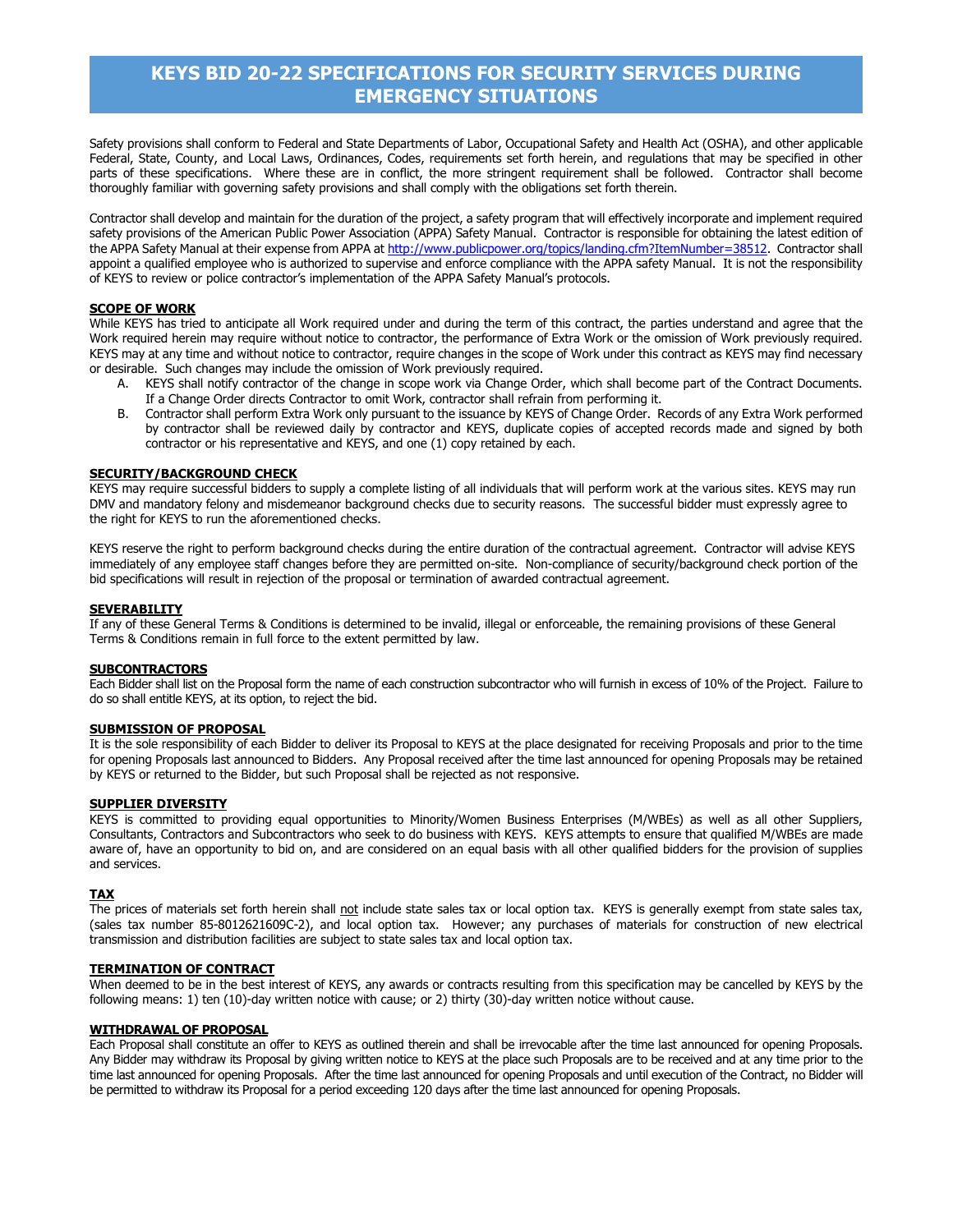Safety provisions shall conform to Federal and State Departments of Labor, Occupational Safety and Health Act (OSHA), and other applicable Federal, State, County, and Local Laws, Ordinances, Codes, requirements set forth herein, and regulations that may be specified in other parts of these specifications. Where these are in conflict, the more stringent requirement shall be followed. Contractor shall become thoroughly familiar with governing safety provisions and shall comply with the obligations set forth therein.

Contractor shall develop and maintain for the duration of the project, a safety program that will effectively incorporate and implement required safety provisions of the American Public Power Association (APPA) Safety Manual. Contractor is responsible for obtaining the latest edition of the APPA Safety Manual at their expense from APPA a[t http://www.publicpower.org/topics/landing.cfm?ItemNumber=38512.](http://www.publicpower.org/topics/landing.cfm?ItemNumber=38512) Contractor shall appoint a qualified employee who is authorized to supervise and enforce compliance with the APPA safety Manual. It is not the responsibility of KEYS to review or police contractor's implementation of the APPA Safety Manual's protocols.

#### **SCOPE OF WORK**

While KEYS has tried to anticipate all Work required under and during the term of this contract, the parties understand and agree that the Work required herein may require without notice to contractor, the performance of Extra Work or the omission of Work previously required. KEYS may at any time and without notice to contractor, require changes in the scope of Work under this contract as KEYS may find necessary or desirable. Such changes may include the omission of Work previously required.

- A. KEYS shall notify contractor of the change in scope work via Change Order, which shall become part of the Contract Documents. If a Change Order directs Contractor to omit Work, contractor shall refrain from performing it.
- B. Contractor shall perform Extra Work only pursuant to the issuance by KEYS of Change Order. Records of any Extra Work performed by contractor shall be reviewed daily by contractor and KEYS, duplicate copies of accepted records made and signed by both contractor or his representative and KEYS, and one (1) copy retained by each.

#### **SECURITY/BACKGROUND CHECK**

KEYS may require successful bidders to supply a complete listing of all individuals that will perform work at the various sites. KEYS may run DMV and mandatory felony and misdemeanor background checks due to security reasons. The successful bidder must expressly agree to the right for KEYS to run the aforementioned checks.

KEYS reserve the right to perform background checks during the entire duration of the contractual agreement. Contractor will advise KEYS immediately of any employee staff changes before they are permitted on-site. Non-compliance of security/background check portion of the bid specifications will result in rejection of the proposal or termination of awarded contractual agreement.

#### **SEVERABILITY**

If any of these General Terms & Conditions is determined to be invalid, illegal or enforceable, the remaining provisions of these General Terms & Conditions remain in full force to the extent permitted by law.

#### **SUBCONTRACTORS**

Each Bidder shall list on the Proposal form the name of each construction subcontractor who will furnish in excess of 10% of the Project. Failure to do so shall entitle KEYS, at its option, to reject the bid.

#### **SUBMISSION OF PROPOSAL**

It is the sole responsibility of each Bidder to deliver its Proposal to KEYS at the place designated for receiving Proposals and prior to the time for opening Proposals last announced to Bidders. Any Proposal received after the time last announced for opening Proposals may be retained by KEYS or returned to the Bidder, but such Proposal shall be rejected as not responsive.

#### **SUPPLIER DIVERSITY**

KEYS is committed to providing equal opportunities to Minority/Women Business Enterprises (M/WBEs) as well as all other Suppliers, Consultants, Contractors and Subcontractors who seek to do business with KEYS. KEYS attempts to ensure that qualified M/WBEs are made aware of, have an opportunity to bid on, and are considered on an equal basis with all other qualified bidders for the provision of supplies and services.

#### **TAX**

The prices of materials set forth herein shall not include state sales tax or local option tax. KEYS is generally exempt from state sales tax, (sales tax number 85-8012621609C-2), and local option tax. However; any purchases of materials for construction of new electrical transmission and distribution facilities are subject to state sales tax and local option tax.

#### **TERMINATION OF CONTRACT**

When deemed to be in the best interest of KEYS, any awards or contracts resulting from this specification may be cancelled by KEYS by the following means: 1) ten (10)-day written notice with cause; or 2) thirty (30)-day written notice without cause.

#### **WITHDRAWAL OF PROPOSAL**

Each Proposal shall constitute an offer to KEYS as outlined therein and shall be irrevocable after the time last announced for opening Proposals. Any Bidder may withdraw its Proposal by giving written notice to KEYS at the place such Proposals are to be received and at any time prior to the time last announced for opening Proposals. After the time last announced for opening Proposals and until execution of the Contract, no Bidder will be permitted to withdraw its Proposal for a period exceeding 120 days after the time last announced for opening Proposals.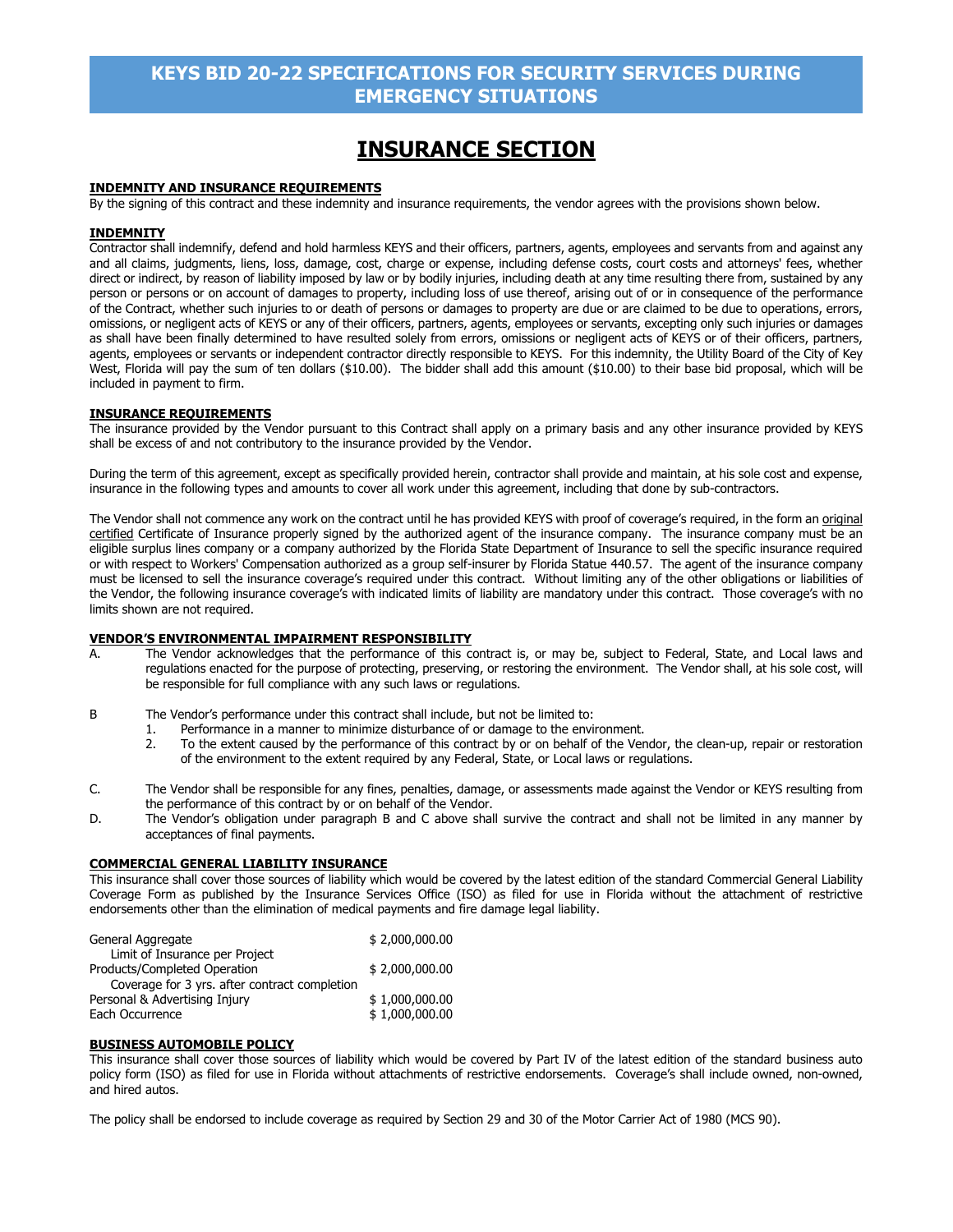# **INSURANCE SECTION**

#### **INDEMNITY AND INSURANCE REQUIREMENTS**

By the signing of this contract and these indemnity and insurance requirements, the vendor agrees with the provisions shown below.

#### **INDEMNITY**

Contractor shall indemnify, defend and hold harmless KEYS and their officers, partners, agents, employees and servants from and against any and all claims, judgments, liens, loss, damage, cost, charge or expense, including defense costs, court costs and attorneys' fees, whether direct or indirect, by reason of liability imposed by law or by bodily injuries, including death at any time resulting there from, sustained by any person or persons or on account of damages to property, including loss of use thereof, arising out of or in consequence of the performance of the Contract, whether such injuries to or death of persons or damages to property are due or are claimed to be due to operations, errors, omissions, or negligent acts of KEYS or any of their officers, partners, agents, employees or servants, excepting only such injuries or damages as shall have been finally determined to have resulted solely from errors, omissions or negligent acts of KEYS or of their officers, partners, agents, employees or servants or independent contractor directly responsible to KEYS. For this indemnity, the Utility Board of the City of Key West, Florida will pay the sum of ten dollars (\$10.00). The bidder shall add this amount (\$10.00) to their base bid proposal, which will be included in payment to firm.

#### **INSURANCE REQUIREMENTS**

The insurance provided by the Vendor pursuant to this Contract shall apply on a primary basis and any other insurance provided by KEYS shall be excess of and not contributory to the insurance provided by the Vendor.

During the term of this agreement, except as specifically provided herein, contractor shall provide and maintain, at his sole cost and expense, insurance in the following types and amounts to cover all work under this agreement, including that done by sub-contractors.

The Vendor shall not commence any work on the contract until he has provided KEYS with proof of coverage's required, in the form an original certified Certificate of Insurance properly signed by the authorized agent of the insurance company. The insurance company must be an eligible surplus lines company or a company authorized by the Florida State Department of Insurance to sell the specific insurance required or with respect to Workers' Compensation authorized as a group self-insurer by Florida Statue 440.57. The agent of the insurance company must be licensed to sell the insurance coverage's required under this contract. Without limiting any of the other obligations or liabilities of the Vendor, the following insurance coverage's with indicated limits of liability are mandatory under this contract. Those coverage's with no limits shown are not required.

# **VENDOR'S ENVIRONMENTAL IMPAIRMENT RESPONSIBILITY**<br>A The Vendor acknowledges that the performance of this compa

The Vendor acknowledges that the performance of this contract is, or may be, subject to Federal, State, and Local laws and regulations enacted for the purpose of protecting, preserving, or restoring the environment. The Vendor shall, at his sole cost, will be responsible for full compliance with any such laws or regulations.

B The Vendor's performance under this contract shall include, but not be limited to:

- 1. Performance in a manner to minimize disturbance of or damage to the environment.
	- 2. To the extent caused by the performance of this contract by or on behalf of the Vendor, the clean-up, repair or restoration of the environment to the extent required by any Federal, State, or Local laws or regulations.
- C. The Vendor shall be responsible for any fines, penalties, damage, or assessments made against the Vendor or KEYS resulting from the performance of this contract by or on behalf of the Vendor.
- D. The Vendor's obligation under paragraph B and C above shall survive the contract and shall not be limited in any manner by acceptances of final payments.

#### **COMMERCIAL GENERAL LIABILITY INSURANCE**

This insurance shall cover those sources of liability which would be covered by the latest edition of the standard Commercial General Liability Coverage Form as published by the Insurance Services Office (ISO) as filed for use in Florida without the attachment of restrictive endorsements other than the elimination of medical payments and fire damage legal liability.

| General Aggregate                             | \$2,000,000.00 |
|-----------------------------------------------|----------------|
| Limit of Insurance per Project                |                |
| Products/Completed Operation                  | \$2,000,000.00 |
| Coverage for 3 yrs. after contract completion |                |
| Personal & Advertising Injury                 | \$1,000,000.00 |
| Each Occurrence                               | \$1,000,000.00 |

#### **BUSINESS AUTOMOBILE POLICY**

This insurance shall cover those sources of liability which would be covered by Part IV of the latest edition of the standard business auto policy form (ISO) as filed for use in Florida without attachments of restrictive endorsements. Coverage's shall include owned, non-owned, and hired autos.

The policy shall be endorsed to include coverage as required by Section 29 and 30 of the Motor Carrier Act of 1980 (MCS 90).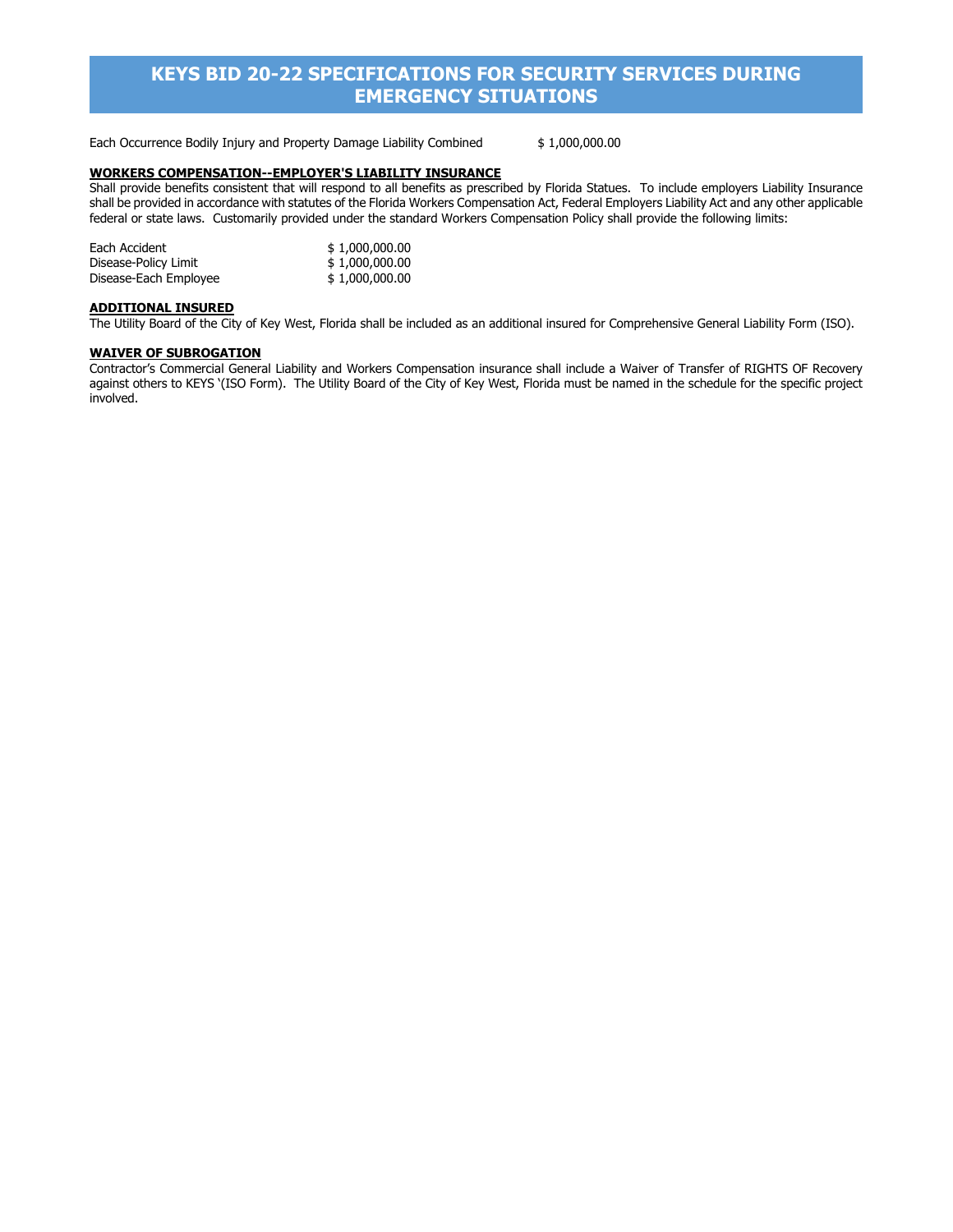Each Occurrence Bodily Injury and Property Damage Liability Combined \$ 1,000,000.00

#### **WORKERS COMPENSATION--EMPLOYER'S LIABILITY INSURANCE**

Shall provide benefits consistent that will respond to all benefits as prescribed by Florida Statues. To include employers Liability Insurance shall be provided in accordance with statutes of the Florida Workers Compensation Act, Federal Employers Liability Act and any other applicable federal or state laws. Customarily provided under the standard Workers Compensation Policy shall provide the following limits:

| Each Accident         | \$1,000,000.00 |
|-----------------------|----------------|
| Disease-Policy Limit  | \$1,000,000.00 |
| Disease-Each Employee | \$1,000,000.00 |

#### **ADDITIONAL INSURED**

The Utility Board of the City of Key West, Florida shall be included as an additional insured for Comprehensive General Liability Form (ISO).

#### **WAIVER OF SUBROGATION**

Contractor's Commercial General Liability and Workers Compensation insurance shall include a Waiver of Transfer of RIGHTS OF Recovery against others to KEYS '(ISO Form). The Utility Board of the City of Key West, Florida must be named in the schedule for the specific project involved.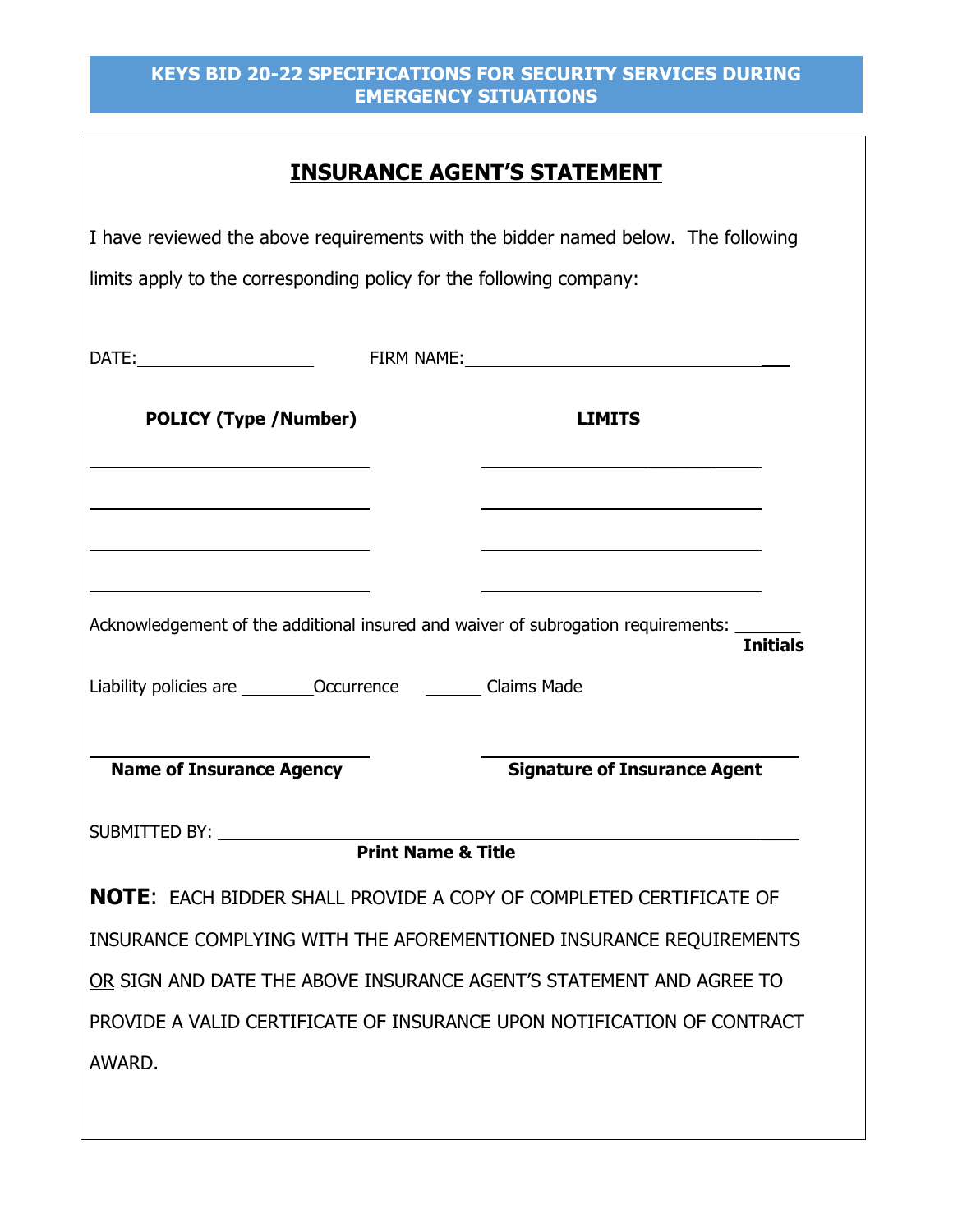# **INSURANCE AGENT'S STATEMENT**

| limits apply to the corresponding policy for the following company: |                               | I have reviewed the above requirements with the bidder named below. The following                    |
|---------------------------------------------------------------------|-------------------------------|------------------------------------------------------------------------------------------------------|
|                                                                     |                               |                                                                                                      |
| <b>POLICY (Type /Number)</b>                                        |                               | <b>LIMITS</b>                                                                                        |
|                                                                     |                               |                                                                                                      |
| Liability policies are __________Occurrence ___________ Claims Made |                               | Acknowledgement of the additional insured and waiver of subrogation requirements:<br><b>Initials</b> |
| <b>Name of Insurance Agency</b>                                     |                               | <b>Signature of Insurance Agent</b>                                                                  |
| SUBMITTED BY:                                                       | <b>Print Name &amp; Title</b> |                                                                                                      |
|                                                                     |                               | <b>NOTE:</b> EACH BIDDER SHALL PROVIDE A COPY OF COMPLETED CERTIFICATE OF                            |
|                                                                     |                               | INSURANCE COMPLYING WITH THE AFOREMENTIONED INSURANCE REQUIREMENTS                                   |
|                                                                     |                               | OR SIGN AND DATE THE ABOVE INSURANCE AGENT'S STATEMENT AND AGREE TO                                  |
|                                                                     |                               | PROVIDE A VALID CERTIFICATE OF INSURANCE UPON NOTIFICATION OF CONTRACT                               |
| AWARD.                                                              |                               |                                                                                                      |
|                                                                     |                               |                                                                                                      |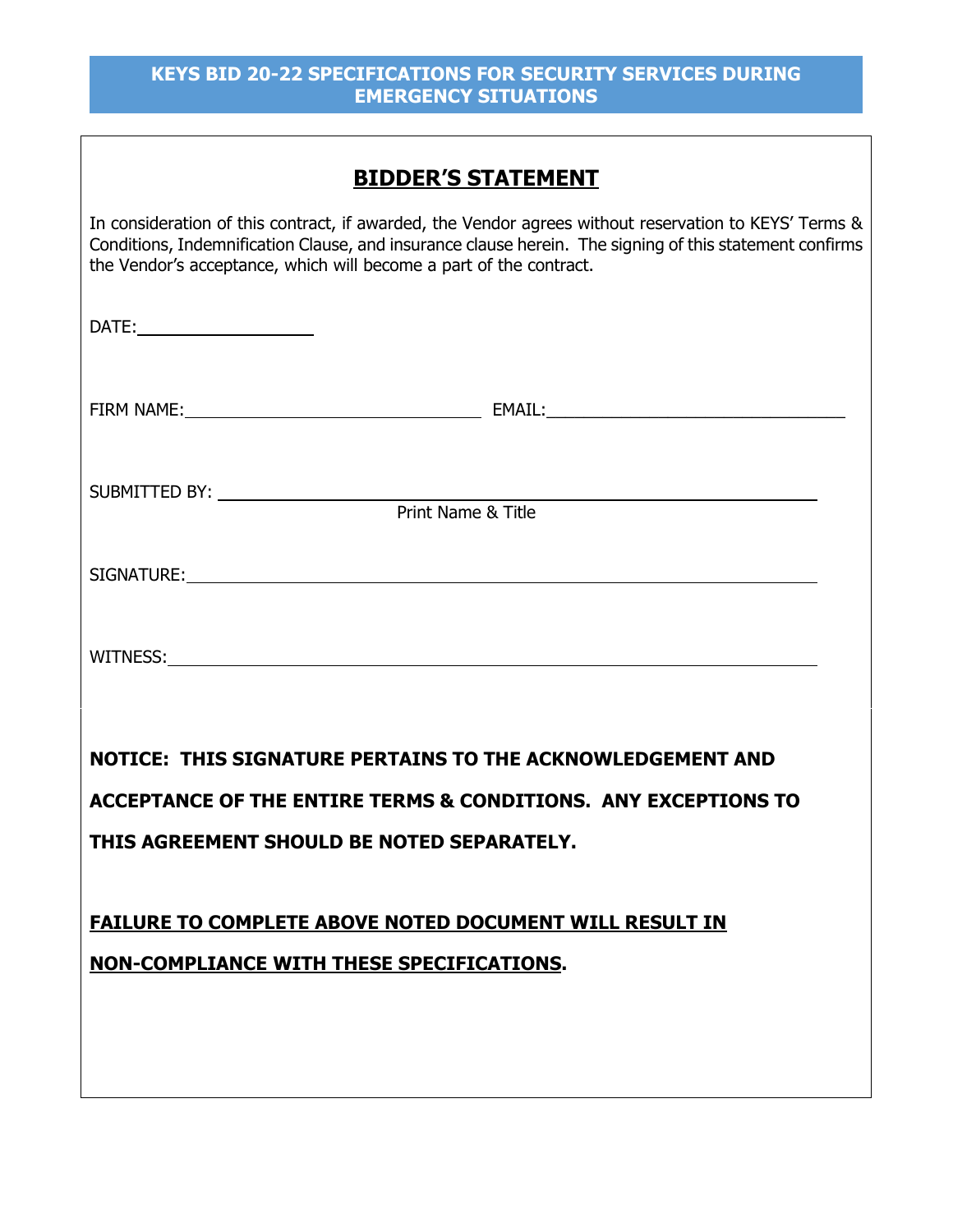| <b>BIDDER'S STATEMENT</b>                                                                                      |
|----------------------------------------------------------------------------------------------------------------|
| and the state of the state of the state of the state of the state of the state of the state of the state of th |

In consideration of this contract, if awarded, the Vendor agrees without reservation to KEYS' Terms & Conditions, Indemnification Clause, and insurance clause herein. The signing of this statement confirms the Vendor's acceptance, which will become a part of the contract.

| Print Name & Title                                             |  |  |  |
|----------------------------------------------------------------|--|--|--|
|                                                                |  |  |  |
|                                                                |  |  |  |
| NOTICE: THIS SIGNATURE PERTAINS TO THE ACKNOWLEDGEMENT AND     |  |  |  |
| ACCEPTANCE OF THE ENTIRE TERMS & CONDITIONS. ANY EXCEPTIONS TO |  |  |  |
| THIS AGREEMENT SHOULD BE NOTED SEPARATELY.                     |  |  |  |
| FAILURE TO COMPLETE ABOVE NOTED DOCUMENT WILL RESULT IN        |  |  |  |
| NON-COMPLIANCE WITH THESE SPECIFICATIONS.                      |  |  |  |
|                                                                |  |  |  |
|                                                                |  |  |  |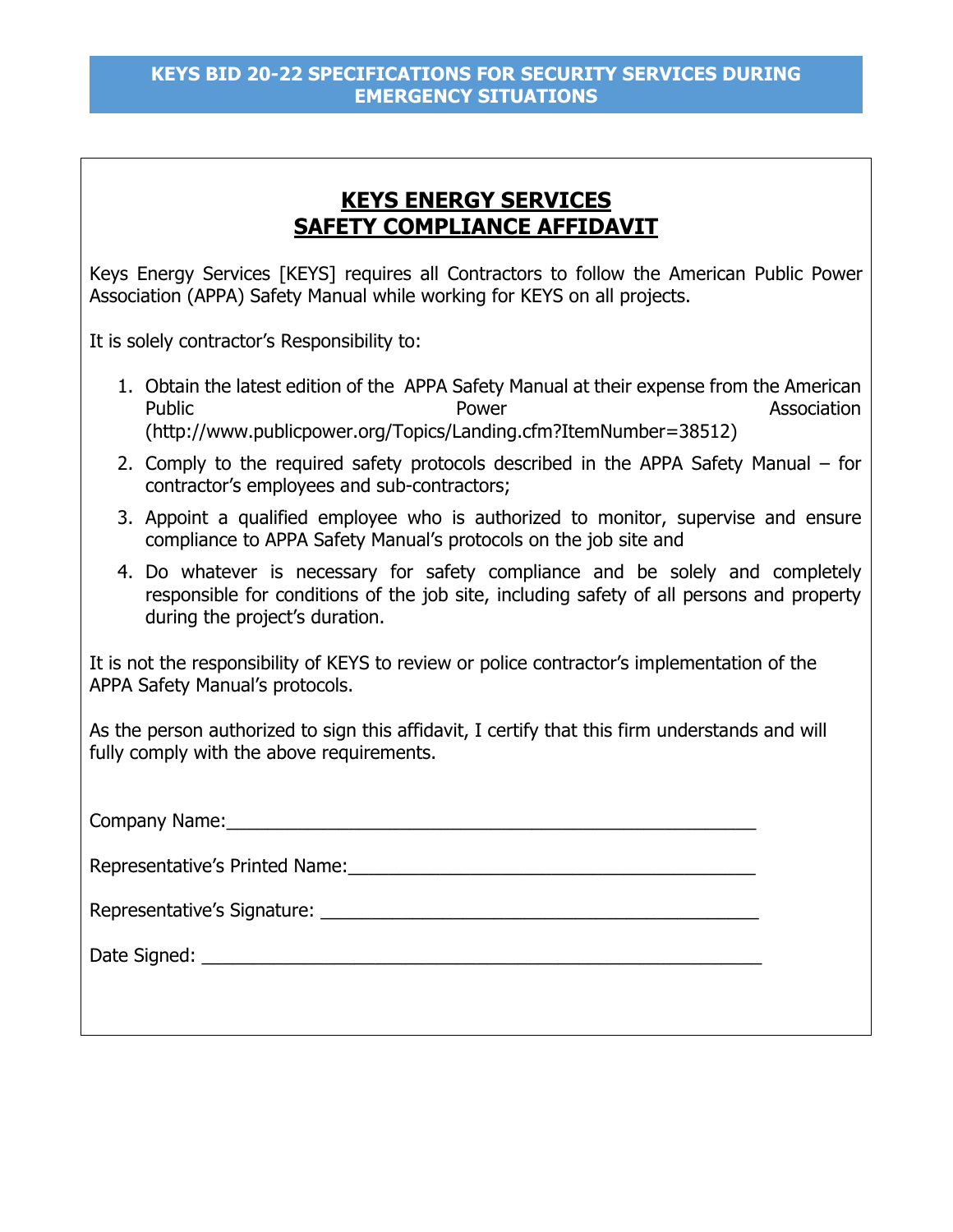# **KEYS ENERGY SERVICES SAFETY COMPLIANCE AFFIDAVIT**

Keys Energy Services [KEYS] requires all Contractors to follow the American Public Power Association (APPA) Safety Manual while working for KEYS on all projects.

It is solely contractor's Responsibility to:

- 1. Obtain the latest edition of the APPA Safety Manual at their expense from the American Public **Public Association** Power **Power** Power **Association** (http://www.publicpower.org/Topics/Landing.cfm?ItemNumber=38512)
- 2. Comply to the required safety protocols described in the APPA Safety Manual for contractor's employees and sub-contractors;
- 3. Appoint a qualified employee who is authorized to monitor, supervise and ensure compliance to APPA Safety Manual's protocols on the job site and
- 4. Do whatever is necessary for safety compliance and be solely and completely responsible for conditions of the job site, including safety of all persons and property during the project's duration.

It is not the responsibility of KEYS to review or police contractor's implementation of the APPA Safety Manual's protocols.

As the person authorized to sign this affidavit, I certify that this firm understands and will fully comply with the above requirements.

| Company Name: Manual Account Company Name: |  |  |
|--------------------------------------------|--|--|
| Representative's Printed Name:             |  |  |
|                                            |  |  |
|                                            |  |  |
|                                            |  |  |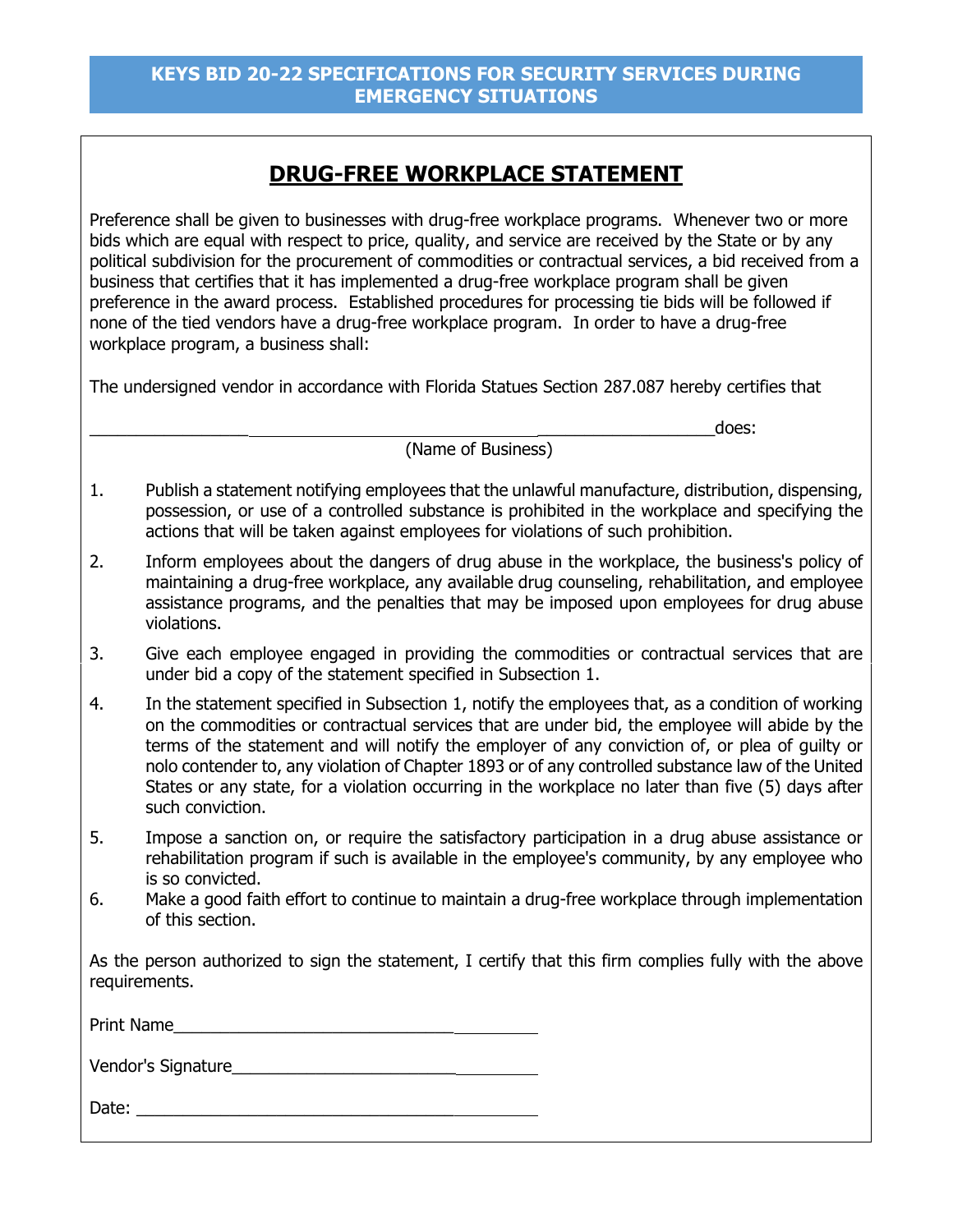# **DRUG-FREE WORKPLACE STATEMENT**

Preference shall be given to businesses with drug-free workplace programs. Whenever two or more bids which are equal with respect to price, quality, and service are received by the State or by any political subdivision for the procurement of commodities or contractual services, a bid received from a business that certifies that it has implemented a drug-free workplace program shall be given preference in the award process. Established procedures for processing tie bids will be followed if none of the tied vendors have a drug-free workplace program. In order to have a drug-free workplace program, a business shall:

The undersigned vendor in accordance with Florida Statues Section 287.087 hereby certifies that

(Name of Business)

- \_\_\_\_\_\_\_\_\_\_\_\_\_\_\_\_\_ \_\_\_\_\_\_\_\_\_\_\_\_\_\_\_\_\_\_\_does:
- 1. Publish a statement notifying employees that the unlawful manufacture, distribution, dispensing, possession, or use of a controlled substance is prohibited in the workplace and specifying the actions that will be taken against employees for violations of such prohibition.
- 2. Inform employees about the dangers of drug abuse in the workplace, the business's policy of maintaining a drug-free workplace, any available drug counseling, rehabilitation, and employee assistance programs, and the penalties that may be imposed upon employees for drug abuse violations.
- 3. Give each employee engaged in providing the commodities or contractual services that are under bid a copy of the statement specified in Subsection 1.
- 4. In the statement specified in Subsection 1, notify the employees that, as a condition of working on the commodities or contractual services that are under bid, the employee will abide by the terms of the statement and will notify the employer of any conviction of, or plea of guilty or nolo contender to, any violation of Chapter 1893 or of any controlled substance law of the United States or any state, for a violation occurring in the workplace no later than five (5) days after such conviction.
- 5. Impose a sanction on, or require the satisfactory participation in a drug abuse assistance or rehabilitation program if such is available in the employee's community, by any employee who is so convicted.
- 6. Make a good faith effort to continue to maintain a drug-free workplace through implementation of this section.

As the person authorized to sign the statement, I certify that this firm complies fully with the above requirements.

Print Name

Vendor's Signature

Date: \_\_\_\_\_\_\_\_\_\_\_\_\_\_\_\_\_\_\_\_\_\_\_\_\_\_\_\_\_\_\_\_\_\_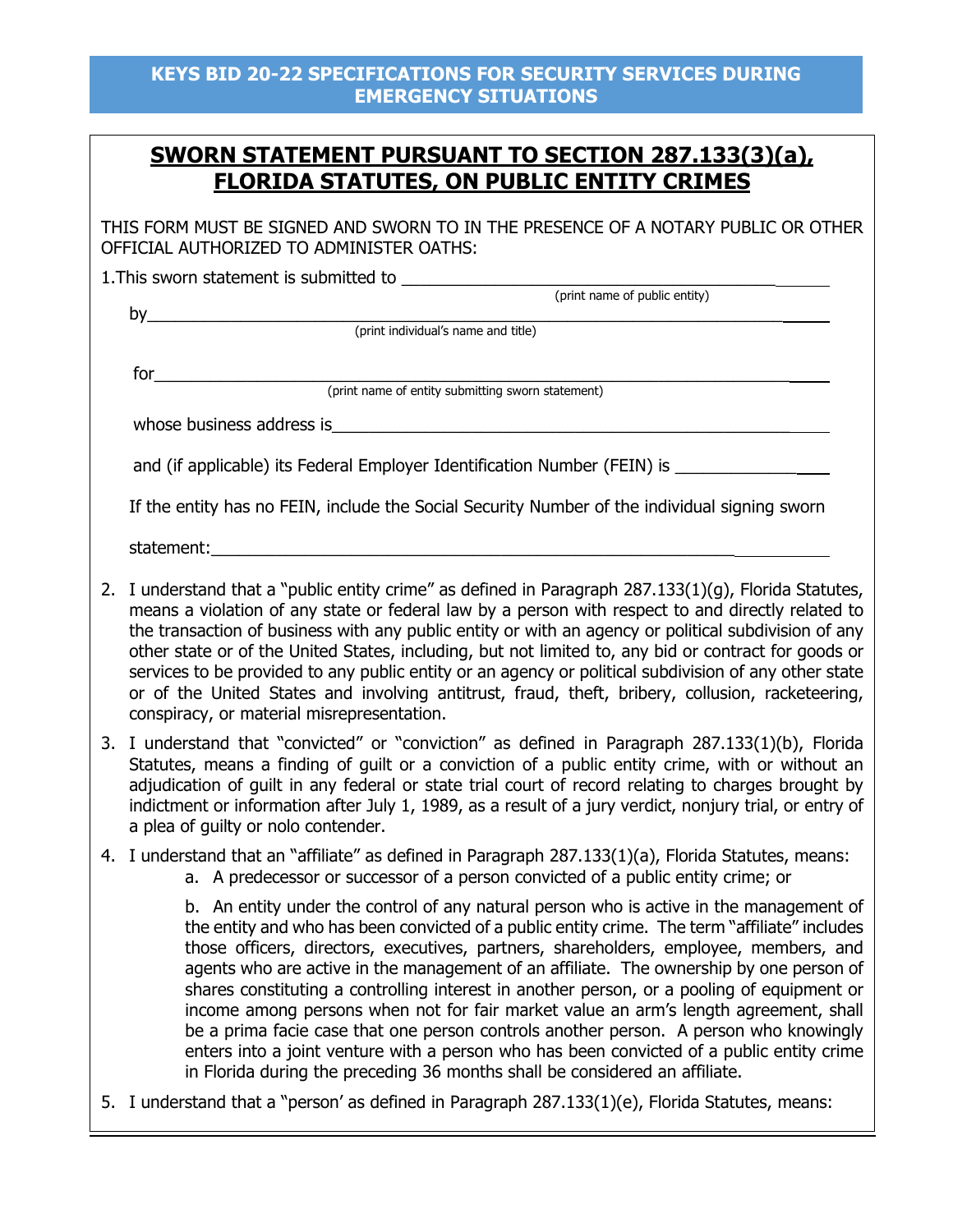# **SWORN STATEMENT PURSUANT TO SECTION 287.133(3)(a), FLORIDA STATUTES, ON PUBLIC ENTITY CRIMES**

THIS FORM MUST BE SIGNED AND SWORN TO IN THE PRESENCE OF A NOTARY PUBLIC OR OTHER OFFICIAL AUTHORIZED TO ADMINISTER OATHS:

1.This sworn statement is submitted to \_\_\_\_\_\_\_\_\_\_\_\_\_\_\_\_\_\_\_\_\_\_\_\_\_\_\_\_\_\_\_\_\_\_\_\_\_\_\_\_ (print name of public entity)

by\_\_\_\_\_\_\_\_\_\_\_\_\_\_\_\_\_\_\_\_\_\_\_\_\_\_\_\_\_\_\_\_\_\_\_\_\_\_\_\_\_\_\_\_\_\_\_\_\_\_\_\_\_\_\_\_\_\_\_\_\_\_\_\_\_\_\_\_ (print individual's name and title)

for\_\_\_\_\_\_\_\_\_\_\_\_\_\_\_\_\_\_\_\_\_\_\_\_\_\_\_\_\_\_\_\_\_\_\_\_\_\_\_\_\_\_\_\_\_\_\_\_\_\_\_\_\_\_\_\_\_\_\_\_\_\_\_\_\_\_\_\_ (print name of entity submitting sworn statement)

whose business address is whose  $\frac{1}{2}$ 

and (if applicable) its Federal Employer Identification Number (FEIN) is

If the entity has no FEIN, include the Social Security Number of the individual signing sworn

statement:

- 2. I understand that a "public entity crime" as defined in Paragraph 287.133(1)(g), Florida Statutes, means a violation of any state or federal law by a person with respect to and directly related to the transaction of business with any public entity or with an agency or political subdivision of any other state or of the United States, including, but not limited to, any bid or contract for goods or services to be provided to any public entity or an agency or political subdivision of any other state or of the United States and involving antitrust, fraud, theft, bribery, collusion, racketeering, conspiracy, or material misrepresentation.
- 3. I understand that "convicted" or "conviction" as defined in Paragraph 287.133(1)(b), Florida Statutes, means a finding of guilt or a conviction of a public entity crime, with or without an adjudication of guilt in any federal or state trial court of record relating to charges brought by indictment or information after July 1, 1989, as a result of a jury verdict, nonjury trial, or entry of a plea of guilty or nolo contender.
- 4. I understand that an "affiliate" as defined in Paragraph 287.133(1)(a), Florida Statutes, means:
	- a. A predecessor or successor of a person convicted of a public entity crime; or

 b. An entity under the control of any natural person who is active in the management of the entity and who has been convicted of a public entity crime. The term "affiliate" includes those officers, directors, executives, partners, shareholders, employee, members, and agents who are active in the management of an affiliate. The ownership by one person of shares constituting a controlling interest in another person, or a pooling of equipment or income among persons when not for fair market value an arm's length agreement, shall be a prima facie case that one person controls another person. A person who knowingly enters into a joint venture with a person who has been convicted of a public entity crime in Florida during the preceding 36 months shall be considered an affiliate.

5. I understand that a "person' as defined in Paragraph 287.133(1)(e), Florida Statutes, means: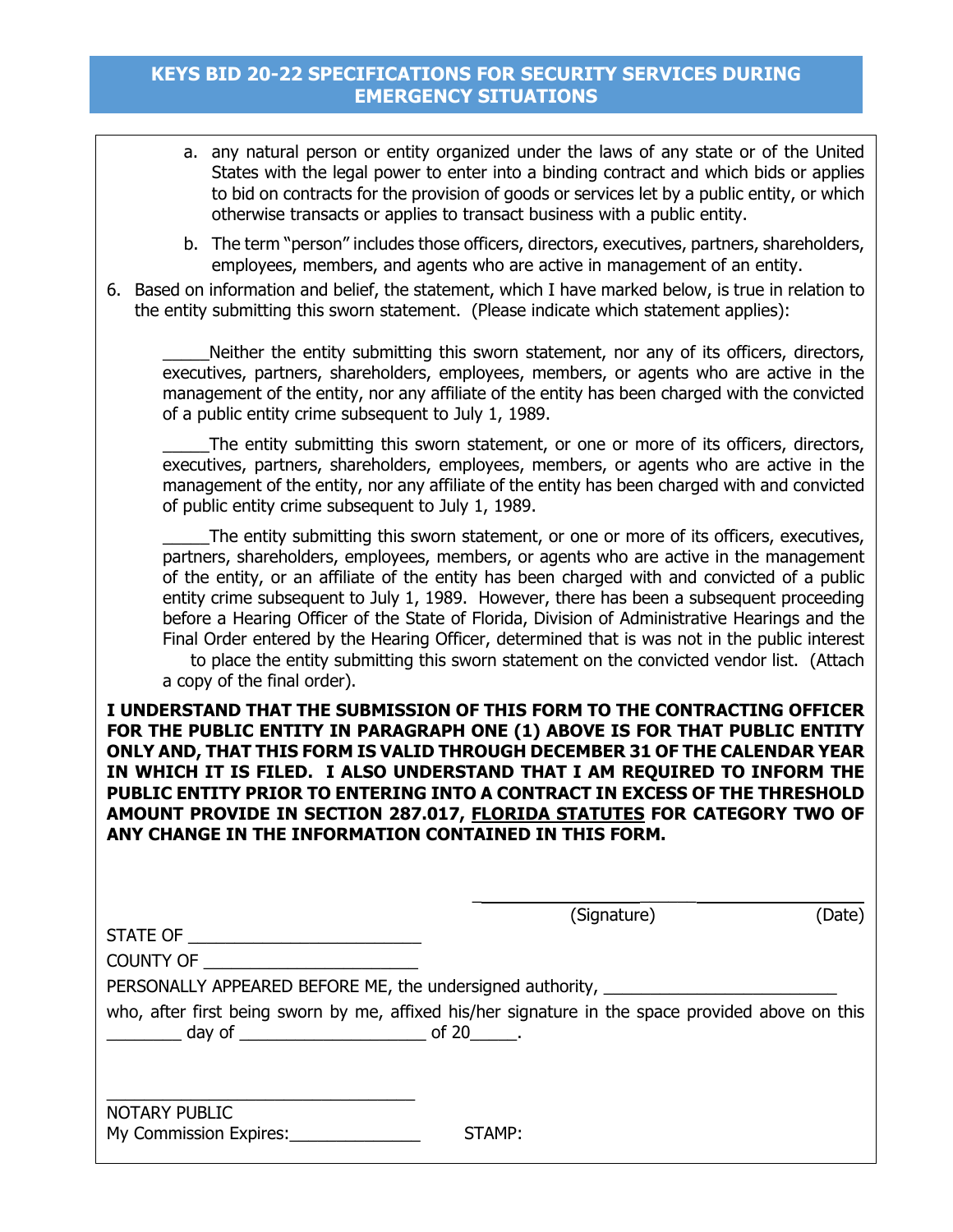- a. any natural person or entity organized under the laws of any state or of the United States with the legal power to enter into a binding contract and which bids or applies to bid on contracts for the provision of goods or services let by a public entity, or which otherwise transacts or applies to transact business with a public entity.
- b. The term "person" includes those officers, directors, executives, partners, shareholders, employees, members, and agents who are active in management of an entity.
- 6. Based on information and belief, the statement, which I have marked below, is true in relation to the entity submitting this sworn statement. (Please indicate which statement applies):

Neither the entity submitting this sworn statement, nor any of its officers, directors, executives, partners, shareholders, employees, members, or agents who are active in the management of the entity, nor any affiliate of the entity has been charged with the convicted of a public entity crime subsequent to July 1, 1989.

The entity submitting this sworn statement, or one or more of its officers, directors, executives, partners, shareholders, employees, members, or agents who are active in the management of the entity, nor any affiliate of the entity has been charged with and convicted of public entity crime subsequent to July 1, 1989.

 \_\_\_\_\_The entity submitting this sworn statement, or one or more of its officers, executives, partners, shareholders, employees, members, or agents who are active in the management of the entity, or an affiliate of the entity has been charged with and convicted of a public entity crime subsequent to July 1, 1989. However, there has been a subsequent proceeding before a Hearing Officer of the State of Florida, Division of Administrative Hearings and the Final Order entered by the Hearing Officer, determined that is was not in the public interest to place the entity submitting this sworn statement on the convicted vendor list. (Attach

a copy of the final order).

**I UNDERSTAND THAT THE SUBMISSION OF THIS FORM TO THE CONTRACTING OFFICER FOR THE PUBLIC ENTITY IN PARAGRAPH ONE (1) ABOVE IS FOR THAT PUBLIC ENTITY ONLY AND, THAT THIS FORM IS VALID THROUGH DECEMBER 31 OF THE CALENDAR YEAR IN WHICH IT IS FILED. I ALSO UNDERSTAND THAT I AM REQUIRED TO INFORM THE PUBLIC ENTITY PRIOR TO ENTERING INTO A CONTRACT IN EXCESS OF THE THRESHOLD AMOUNT PROVIDE IN SECTION 287.017, FLORIDA STATUTES FOR CATEGORY TWO OF ANY CHANGE IN THE INFORMATION CONTAINED IN THIS FORM.**

|                                                | (Signature)                                                                                       | (Date) |
|------------------------------------------------|---------------------------------------------------------------------------------------------------|--------|
| COUNTY OF                                      |                                                                                                   |        |
|                                                | PERSONALLY APPEARED BEFORE ME, the undersigned authority, ______________________                  |        |
|                                                | who, after first being sworn by me, affixed his/her signature in the space provided above on this |        |
| <b>NOTARY PUBLIC</b><br>My Commission Expires: | STAMP:                                                                                            |        |